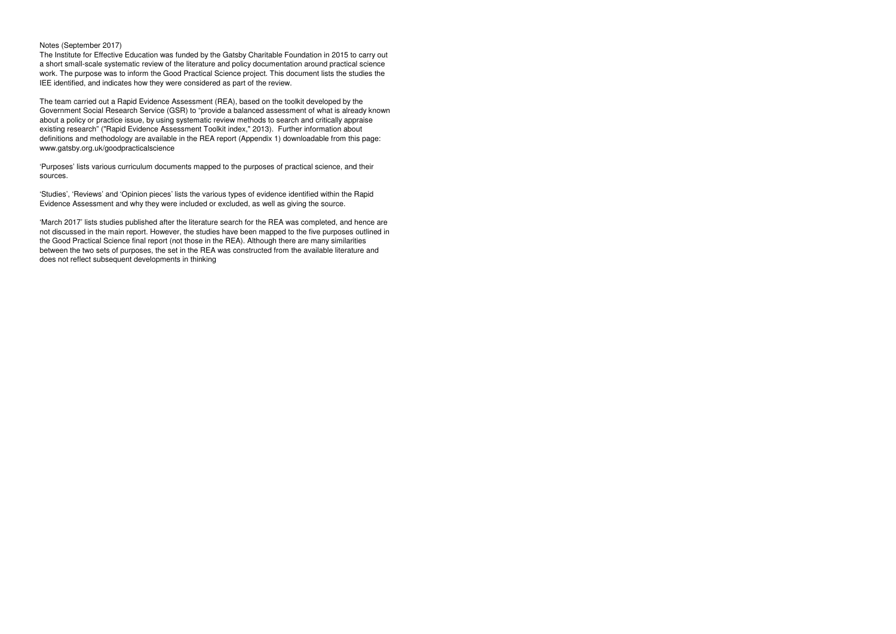Notes (September 2017)

 The Institute for Effective Education was funded by the Gatsby Charitable Foundation in 2015 to carry out a short small-scale systematic review of the literature and policy documentation around practical science work. The purpose was to inform the Good Practical Science project. This document lists the studies the IEE identified, and indicates how they were considered as part of the review.

The team carried out a Rapid Evidence Assessment (REA), based on the toolkit developed by the Government Social Research Service (GSR) to "provide a balanced assessment of what is already known about a policy or practice issue, by using systematic review methods to search and critically appraiseexisting research" ("Rapid Evidence Assessment Toolkit index," 2013). Further information about definitions and methodology are available in the REA report (Appendix 1) downloadable from this page: www.gatsby.org.uk/goodpracticalscience

'Purposes' lists various curriculum documents mapped to the purposes of practical science, and their sources.

'Studies', 'Reviews' and 'Opinion pieces' lists the various types of evidence identified within the Rapid Evidence Assessment and why they were included or excluded, as well as giving the source.

'March 2017' lists studies published after the literature search for the REA was completed, and hence are not discussed in the main report. However, the studies have been mapped to the five purposes outlined in the Good Practical Science final report (not those in the REA). Although there are many similarities between the two sets of purposes, the set in the REA was constructed from the available literature anddoes not reflect subsequent developments in thinking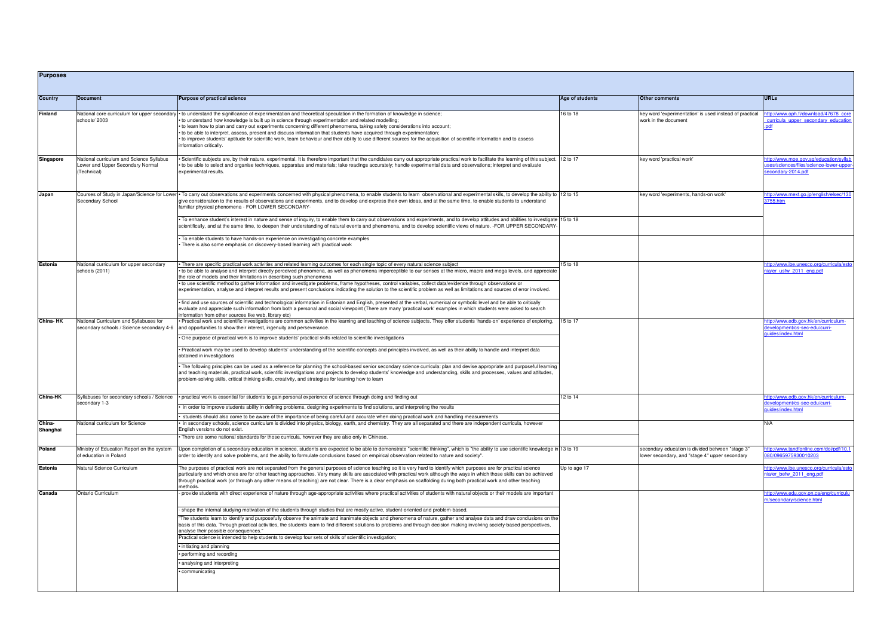| <b>Purposes</b>    |                                                                                             |                                                                                                                                                                                                                                                                                                                                                                                                                                                                                                                                                                                                                                                                                                   |                 |                                                                                                   |                                                                                                      |
|--------------------|---------------------------------------------------------------------------------------------|---------------------------------------------------------------------------------------------------------------------------------------------------------------------------------------------------------------------------------------------------------------------------------------------------------------------------------------------------------------------------------------------------------------------------------------------------------------------------------------------------------------------------------------------------------------------------------------------------------------------------------------------------------------------------------------------------|-----------------|---------------------------------------------------------------------------------------------------|------------------------------------------------------------------------------------------------------|
| Country            | Document                                                                                    | Purpose of practical science                                                                                                                                                                                                                                                                                                                                                                                                                                                                                                                                                                                                                                                                      | Age of students | <b>Other comments</b>                                                                             | <b>URLs</b>                                                                                          |
| <b>Finland</b>     | National core curriculum for upper secondary<br>schools/2003                                | • to understand the significance of experimentation and theoretical speculation in the formation of knowledge in science;<br>to understand how knowledge is built up in science through experimentation and related modelling;<br>• to learn how to plan and carry out experiments concerning different phenomena, taking safety considerations into account;<br>• to be able to interpret, assess, present and discuss information that students have acquired through experimentation;<br>• to improve students' aptitude for scientific work, team behaviour and their ability to use different sources for the acquisition of scientific information and to assess<br>information critically. | 16 to 18        | key word 'experimentation' is used instead of practical<br>work in the document                   | nttp://www.oph.fi/download/47678 core<br>curricula upper secondary education                         |
| Singapore          | National curriculum and Science Syllabus<br>Lower and Upper Secondary Normal<br>(Technical) | Scientific subjects are, by their nature, experimental. It is therefore important that the candidates carry out appropriate practical work to facilitate the learning of this subject. [12 to 17<br>to be able to select and organise techniques, apparatus and materials; take readings accurately; handle experimental data and observations; interpret and evaluate<br>experimental results.                                                                                                                                                                                                                                                                                                   |                 | key word 'practical work'                                                                         | ttp://www.moe.gov.sg/education/syllat<br>ses/sciences/files/science-lower-upper<br>econdary-2014.pdf |
| Japan              | Secondary School                                                                            | Courses of Study in Japan/Science for Lower • To carry out observations and experiments concerned with physical phenomena, to enable students to learn observational and experimental skills, to develop the ability to  12 to<br>give consideration to the results of observations and experiments, and to develop and express their own ideas, and at the same time, to enable students to understand<br>familiar physical phenomena - FOR LOWER SECONDARY-                                                                                                                                                                                                                                     |                 | key word 'experiments, hands-on work'                                                             | ittp://www.mext.go.jp/english/elsec/130<br>3755.htm                                                  |
|                    |                                                                                             | To enhance student's interest in nature and sense of inquiry, to enable them to carry out observations and experiments, and to develop attitudes and abilities to investigate  15 to 18<br>scientifically, and at the same time, to deepen their understanding of natural events and phenomena, and to develop scientific views of nature. -FOR UPPER SECONDARY-                                                                                                                                                                                                                                                                                                                                  |                 |                                                                                                   |                                                                                                      |
|                    |                                                                                             | To enable students to have hands-on experience on investigating concrete examples<br>There is also some emphasis on discovery-based learning with practical work                                                                                                                                                                                                                                                                                                                                                                                                                                                                                                                                  |                 |                                                                                                   |                                                                                                      |
| Estonia            | National curriculum for upper secondary<br>schools (2011)                                   | There are specific practical work activities and related learning outcomes for each single topic of every natural science subject<br>• to be able to analyse and interpret directly perceived phenomena, as well as phenomena imperceptible to our senses at the micro, macro and mega levels, and appreciate<br>the role of models and their limitations in describing such phenomena<br>to use scientific method to gather information and investigate problems, frame hypotheses, control variables, collect data/evidence through observations or                                                                                                                                             | 15 to 18        |                                                                                                   | ttp://www.ibe.unesco.org/curricula/esto<br>iia/er usfw 2011 eng.pdf                                  |
|                    |                                                                                             | experimentation, analyse and interpret results and present conclusions indicating the solution to the scientific problem as well as limitations and sources of error involved.<br>find and use sources of scientific and technological information in Estonian and English, presented at the verbal, numerical or symbolic level and be able to critically                                                                                                                                                                                                                                                                                                                                        |                 |                                                                                                   |                                                                                                      |
| China-HK           | National Curriculum and Syllabuses for                                                      | evaluate and appreciate such information from both a personal and social viewpoint (There are many 'practical work' examples in which students were asked to search<br>nformation from other sources like web, library etc)<br>Practical work and scientific investigations are common activities in the learning and teaching of science subjects. They offer students 'hands-on' experience of exploring,                                                                                                                                                                                                                                                                                       | 15 to 17        |                                                                                                   | ttp://www.edb.gov.hk/en/curriculum-                                                                  |
|                    | secondary schools / Science secondary 4-6                                                   | and opportunities to show their interest, ingenuity and perseverance.<br>One purpose of practical work is to improve students' practical skills related to scientific investigations                                                                                                                                                                                                                                                                                                                                                                                                                                                                                                              |                 |                                                                                                   | levelopment/cs-sec-edu/curri-<br>uides/index.html                                                    |
|                    |                                                                                             | Practical work may be used to develop students' understanding of the scientific concepts and principles involved, as well as their ability to handle and interpret data<br>obtained in investigations                                                                                                                                                                                                                                                                                                                                                                                                                                                                                             |                 |                                                                                                   |                                                                                                      |
|                    |                                                                                             | The following principles can be used as a reference for planning the school-based senior secondary science curricula: plan and devise appropriate and purposeful learning<br>and teaching materials, practical work, scientific investigations and projects to develop students' knowledge and understanding, skills and processes, values and attitudes,<br>problem-solving skills, critical thinking skills, creativity, and strategies for learning how to learn                                                                                                                                                                                                                               |                 |                                                                                                   |                                                                                                      |
| <b>China-HK</b>    | Syllabuses for secondary schools / Science<br>secondary 1-3                                 | practical work is essential for students to gain personal experience of science through doing and finding out                                                                                                                                                                                                                                                                                                                                                                                                                                                                                                                                                                                     | 12 to 14        |                                                                                                   | ttp://www.edb.gov.hk/en/curriculum-<br>levelopment/cs-sec-edu/curri-                                 |
|                    |                                                                                             | in order to improve students ability in defining problems, designing experiments to find solutions, and interpreting the results<br>students should also come to be aware of the importance of being careful and accurate when doing practical work and handling measurements                                                                                                                                                                                                                                                                                                                                                                                                                     |                 |                                                                                                   | uides/index.htm                                                                                      |
| China-<br>Shanghai | National curriculum for Science                                                             | in secondary schools, science curriculum is divided into physics, biology, earth, and chemistry. They are all separated and there are independent curricula, however<br>English versions do not exist.                                                                                                                                                                                                                                                                                                                                                                                                                                                                                            |                 |                                                                                                   | N/A                                                                                                  |
|                    |                                                                                             | There are some national standards for those curricula, however they are also only in Chinese.                                                                                                                                                                                                                                                                                                                                                                                                                                                                                                                                                                                                     |                 |                                                                                                   |                                                                                                      |
| Poland             | Ministry of Education Report on the system<br>of education in Poland                        | Upon completion of a secondary education in science, students are expected to be able to demonstrate "scientific thinking", which is "the ability to use scientific knowledge in 13 to 19<br>order to identify and solve problems, and the ability to formulate conclusions based on empirical observation related to nature and society".                                                                                                                                                                                                                                                                                                                                                        |                 | secondary education is divided between "stage 3"<br>ower secondary, and "stage 4" upper secondary | ttp://www.tandfonline.com/doi/pdf/10.1<br>80/0965975930010203                                        |
| Estonia            | Natural Science Curriculum                                                                  | The purposes of practical work are not separated from the general purposes of science teaching so it is very hard to identify which purposes are for practical science<br>particularly and which ones are for other teaching approaches. Very many skills are associated with practical work although the ways in which those skills can be achieved<br>hrough practical work (or through any other means of teaching) are not clear. There is a clear emphasis on scaffolding during both practical work and other teaching<br>nethods.                                                                                                                                                          | Up to age 17    |                                                                                                   | ttp://www.ibe.unesco.org/curricula/esto<br>ija/er befw 2011 eng.pdf                                  |
| Canada             | <b>Ontario Curriculum</b>                                                                   | provide students with direct experience of nature through age-appropriate activities where practical activities of students with natural objects or their models are important                                                                                                                                                                                                                                                                                                                                                                                                                                                                                                                    |                 |                                                                                                   | ttp://www.edu.gov.on.ca/eng/curriculu<br>1/secondary/science.html                                    |
|                    |                                                                                             | shape the internal studying motivation of the students through studies that are mostly active, student-oriented and problem-based.                                                                                                                                                                                                                                                                                                                                                                                                                                                                                                                                                                |                 |                                                                                                   |                                                                                                      |
|                    |                                                                                             | The students learn to identify and purposefully observe the animate and inanimate objects and phenomena of nature, gather and analyse data and draw conclusions on the<br>basis of this data. Through practical activities, the students learn to find different solutions to problems and through decision making involving society-based perspectives,<br>analyse their possible consequences."                                                                                                                                                                                                                                                                                                 |                 |                                                                                                   |                                                                                                      |
|                    |                                                                                             | Practical science is intended to help students to develop four sets of skills of scientific investigation;<br>initiating and planning                                                                                                                                                                                                                                                                                                                                                                                                                                                                                                                                                             |                 |                                                                                                   |                                                                                                      |
|                    |                                                                                             | performing and recording                                                                                                                                                                                                                                                                                                                                                                                                                                                                                                                                                                                                                                                                          |                 |                                                                                                   |                                                                                                      |
|                    |                                                                                             | analysing and interpreting                                                                                                                                                                                                                                                                                                                                                                                                                                                                                                                                                                                                                                                                        |                 |                                                                                                   |                                                                                                      |
|                    |                                                                                             | communicating                                                                                                                                                                                                                                                                                                                                                                                                                                                                                                                                                                                                                                                                                     |                 |                                                                                                   |                                                                                                      |
|                    |                                                                                             |                                                                                                                                                                                                                                                                                                                                                                                                                                                                                                                                                                                                                                                                                                   |                 |                                                                                                   |                                                                                                      |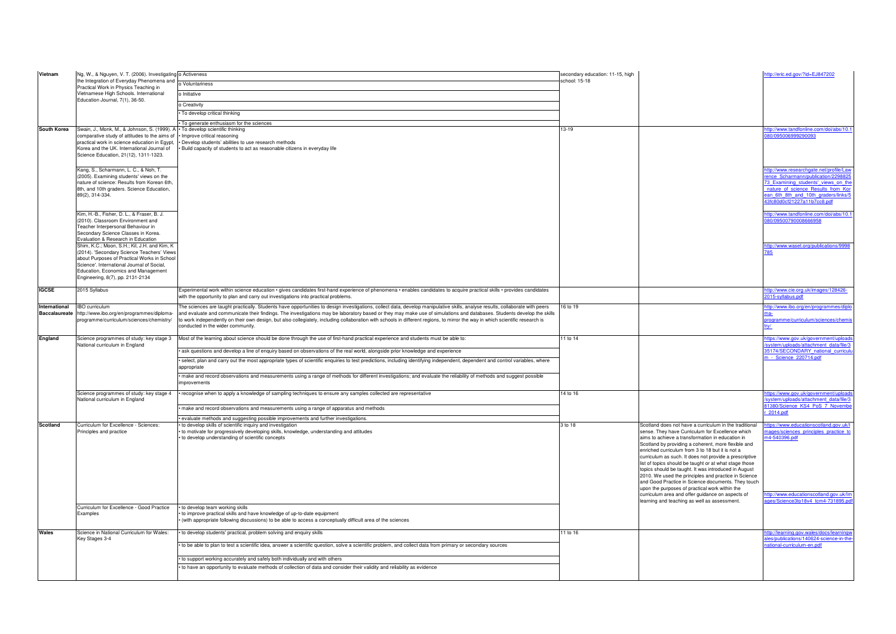| Vietnam                               | Ng, W., & Nguyen, V. T. (2006). Investigating o Activeness                                                                                                                                                                                                                                                                                                                                                                                                               |                                                                                                                                                                                                                                                                                                                                                                                                                                                                                                                                                                                | secondary education: 11-15, high |                                                                                                                                                                                                                                                                   |
|---------------------------------------|--------------------------------------------------------------------------------------------------------------------------------------------------------------------------------------------------------------------------------------------------------------------------------------------------------------------------------------------------------------------------------------------------------------------------------------------------------------------------|--------------------------------------------------------------------------------------------------------------------------------------------------------------------------------------------------------------------------------------------------------------------------------------------------------------------------------------------------------------------------------------------------------------------------------------------------------------------------------------------------------------------------------------------------------------------------------|----------------------------------|-------------------------------------------------------------------------------------------------------------------------------------------------------------------------------------------------------------------------------------------------------------------|
|                                       | the Integration of Everyday Phenomena and                                                                                                                                                                                                                                                                                                                                                                                                                                | o Voluntariness                                                                                                                                                                                                                                                                                                                                                                                                                                                                                                                                                                | school: 15-18                    |                                                                                                                                                                                                                                                                   |
|                                       | Practical Work in Physics Teaching in<br>Vietnamese High Schools. International                                                                                                                                                                                                                                                                                                                                                                                          | o Initiative                                                                                                                                                                                                                                                                                                                                                                                                                                                                                                                                                                   |                                  |                                                                                                                                                                                                                                                                   |
|                                       | Education Journal, 7(1), 36-50.                                                                                                                                                                                                                                                                                                                                                                                                                                          | o Creativity                                                                                                                                                                                                                                                                                                                                                                                                                                                                                                                                                                   |                                  |                                                                                                                                                                                                                                                                   |
|                                       |                                                                                                                                                                                                                                                                                                                                                                                                                                                                          | To develop critical thinking                                                                                                                                                                                                                                                                                                                                                                                                                                                                                                                                                   |                                  |                                                                                                                                                                                                                                                                   |
|                                       |                                                                                                                                                                                                                                                                                                                                                                                                                                                                          |                                                                                                                                                                                                                                                                                                                                                                                                                                                                                                                                                                                |                                  |                                                                                                                                                                                                                                                                   |
| South Korea                           | Swain, J., Monk, M., & Johnson, S. (1999). A                                                                                                                                                                                                                                                                                                                                                                                                                             | To generate enthusiasm for the sciences<br>· To develop scientific thinking                                                                                                                                                                                                                                                                                                                                                                                                                                                                                                    | 13-19                            |                                                                                                                                                                                                                                                                   |
|                                       | comparative study of attitudes to the aims of<br>practical work in science education in Egypt,<br>Korea and the UK. International Journal of<br>Science Education, 21(12), 1311-1323.<br>Kang, S., Scharmann, L. C., & Noh, T.                                                                                                                                                                                                                                           | Improve critical reasoning<br>Develop students' abilities to use research methods<br>Build capacity of students to act as reasonable citizens in everyday life                                                                                                                                                                                                                                                                                                                                                                                                                 |                                  |                                                                                                                                                                                                                                                                   |
|                                       | (2005). Examining students' views on the<br>nature of science: Results from Korean 6th,<br>8th, and 10th graders. Science Education,<br>89(2), 314-334.                                                                                                                                                                                                                                                                                                                  |                                                                                                                                                                                                                                                                                                                                                                                                                                                                                                                                                                                |                                  |                                                                                                                                                                                                                                                                   |
|                                       | Kim, H.-B., Fisher, D. L., & Fraser, B. J.<br>(2010). Classroom Environment and<br>Teacher Interpersonal Behaviour in<br>Secondary Science Classes in Korea.<br>Evaluation & Research in Education<br>Shim, K.C.; Moon, S.H.; Kil, J.H. and Kim, K<br>(2014). 'Secondary Science Teachers' Views<br>about Purposes of Practical Works in School<br>Science'. International Journal of Social,<br>Education, Economics and Management<br>Engineering, 8(7), pp. 2131-2134 |                                                                                                                                                                                                                                                                                                                                                                                                                                                                                                                                                                                |                                  |                                                                                                                                                                                                                                                                   |
| <b>IGCSE</b>                          | 2015 Syllabus                                                                                                                                                                                                                                                                                                                                                                                                                                                            | Experimental work within science education • gives candidates first-hand experience of phenomena • enables candidates to acquire practical skills • provides candidates<br>with the opportunity to plan and carry out investigations into practical problems.                                                                                                                                                                                                                                                                                                                  |                                  |                                                                                                                                                                                                                                                                   |
| International<br><b>Baccalaureate</b> | <b>IBO</b> curriculum<br>http://www.ibo.org/en/programmes/diploma-<br>programme/curriculum/sciences/chemistry/                                                                                                                                                                                                                                                                                                                                                           | The sciences are taught practically. Students have opportunities to design investigations, collect data, develop manipulative skills, analyse results, collaborate with peers<br>and evaluate and communicate their findings. The investigations may be laboratory based or they may make use of simulations and databases. Students develop the skills<br>to work independently on their own design, but also collegiately, including collaboration with schools in different regions, to mirror the way in which scientific research is<br>conducted in the wider community. | 16 to 19                         |                                                                                                                                                                                                                                                                   |
| England                               | Science programmes of study: key stage 3<br>National curriculum in England                                                                                                                                                                                                                                                                                                                                                                                               | Most of the learning about science should be done through the use of first-hand practical experience and students must be able to:                                                                                                                                                                                                                                                                                                                                                                                                                                             | 11 to 14                         |                                                                                                                                                                                                                                                                   |
|                                       |                                                                                                                                                                                                                                                                                                                                                                                                                                                                          | ask questions and develop a line of enquiry based on observations of the real world, alongside prior knowledge and experience                                                                                                                                                                                                                                                                                                                                                                                                                                                  |                                  |                                                                                                                                                                                                                                                                   |
|                                       |                                                                                                                                                                                                                                                                                                                                                                                                                                                                          | select, plan and carry out the most appropriate types of scientific enquiries to test predictions, including identifying independent, dependent and control variables, where<br>appropriate                                                                                                                                                                                                                                                                                                                                                                                    |                                  |                                                                                                                                                                                                                                                                   |
|                                       |                                                                                                                                                                                                                                                                                                                                                                                                                                                                          | make and record observations and measurements using a range of methods for different investigations; and evaluate the reliability of methods and suggest possible<br>improvements                                                                                                                                                                                                                                                                                                                                                                                              |                                  |                                                                                                                                                                                                                                                                   |
|                                       | Science programmes of study: key stage 4<br>National curriculum in England                                                                                                                                                                                                                                                                                                                                                                                               | recognise when to apply a knowledge of sampling techniques to ensure any samples collected are representative                                                                                                                                                                                                                                                                                                                                                                                                                                                                  | 14 to 16                         |                                                                                                                                                                                                                                                                   |
|                                       |                                                                                                                                                                                                                                                                                                                                                                                                                                                                          | make and record observations and measurements using a range of apparatus and methods                                                                                                                                                                                                                                                                                                                                                                                                                                                                                           |                                  |                                                                                                                                                                                                                                                                   |
| Scotland                              | Curriculum for Excellence - Sciences:                                                                                                                                                                                                                                                                                                                                                                                                                                    | evaluate methods and suggesting possible improvements and further investigations.<br>to develop skills of scientific inquiry and investigation                                                                                                                                                                                                                                                                                                                                                                                                                                 | 3 to 18                          | Scotland does not                                                                                                                                                                                                                                                 |
|                                       | Principles and practice                                                                                                                                                                                                                                                                                                                                                                                                                                                  | to motivate for progressively developing skills, knowledge, understanding and attitudes<br>to develop understanding of scientific concepts                                                                                                                                                                                                                                                                                                                                                                                                                                     |                                  | sense. They have<br>aims to achieve a<br>Scotland by provid<br>enriched curriculu<br>curriculum as sucl<br>list of topics should<br>topics should be ta<br>2010. We used th<br>and Good Practice<br>upon the purpose:<br>curriculum area ar<br>learning and teach |
|                                       | Curriculum for Excellence - Good Practice<br>Examples                                                                                                                                                                                                                                                                                                                                                                                                                    | to develop team working skills<br>to improve practical skills and have knowledge of up-to-date equipment<br>(with appropriate following discussions) to be able to access a conceptually difficult area of the sciences                                                                                                                                                                                                                                                                                                                                                        |                                  |                                                                                                                                                                                                                                                                   |
| Wales                                 | Science in National Curriculum for Wales:<br>Key Stages 3-4                                                                                                                                                                                                                                                                                                                                                                                                              | to develop students' practical, problem solving and enquiry skills                                                                                                                                                                                                                                                                                                                                                                                                                                                                                                             | 11 to 16                         |                                                                                                                                                                                                                                                                   |
|                                       |                                                                                                                                                                                                                                                                                                                                                                                                                                                                          | to be able to plan to test a scientific idea, answer a scientific question, solve a scientific problem, and collect data from primary or secondary sources                                                                                                                                                                                                                                                                                                                                                                                                                     |                                  |                                                                                                                                                                                                                                                                   |
|                                       |                                                                                                                                                                                                                                                                                                                                                                                                                                                                          | to support working accurately and safely both individually and with others                                                                                                                                                                                                                                                                                                                                                                                                                                                                                                     |                                  |                                                                                                                                                                                                                                                                   |
|                                       |                                                                                                                                                                                                                                                                                                                                                                                                                                                                          | to have an opportunity to evaluate methods of collection of data and consider their validity and reliability as evidence                                                                                                                                                                                                                                                                                                                                                                                                                                                       |                                  |                                                                                                                                                                                                                                                                   |

| lary education: 11-15, high<br>15-18 |                                                                                                                                                                                                                                                                                                                                                                                                                                                                                                                                                                                                                       | http://eric.ed.gov/?id=EJ847202                                                                                                                                                         |
|--------------------------------------|-----------------------------------------------------------------------------------------------------------------------------------------------------------------------------------------------------------------------------------------------------------------------------------------------------------------------------------------------------------------------------------------------------------------------------------------------------------------------------------------------------------------------------------------------------------------------------------------------------------------------|-----------------------------------------------------------------------------------------------------------------------------------------------------------------------------------------|
|                                      |                                                                                                                                                                                                                                                                                                                                                                                                                                                                                                                                                                                                                       |                                                                                                                                                                                         |
|                                      |                                                                                                                                                                                                                                                                                                                                                                                                                                                                                                                                                                                                                       |                                                                                                                                                                                         |
|                                      |                                                                                                                                                                                                                                                                                                                                                                                                                                                                                                                                                                                                                       | http://www.tandfonline.com/doi/abs/10.1<br>080/095006999290093                                                                                                                          |
|                                      |                                                                                                                                                                                                                                                                                                                                                                                                                                                                                                                                                                                                                       | http://www.researchgate.net/profile/Law                                                                                                                                                 |
|                                      |                                                                                                                                                                                                                                                                                                                                                                                                                                                                                                                                                                                                                       | rence Scharmann/publication/2298825<br>73 Examining students' views on the<br>nature of science Results from Kor<br>ean 6th 8th and 10th graders/links/5<br>43fc80d0cf21227a11b7cc8.pdf |
|                                      |                                                                                                                                                                                                                                                                                                                                                                                                                                                                                                                                                                                                                       | http://www.tandfonline.com/doi/abs/10.1<br>080/09500790008666958                                                                                                                        |
|                                      |                                                                                                                                                                                                                                                                                                                                                                                                                                                                                                                                                                                                                       | http://www.waset.org/publications/9998<br>785                                                                                                                                           |
|                                      |                                                                                                                                                                                                                                                                                                                                                                                                                                                                                                                                                                                                                       | http://www.cie.org.uk/images/128426-                                                                                                                                                    |
|                                      |                                                                                                                                                                                                                                                                                                                                                                                                                                                                                                                                                                                                                       | 2015-syllabus.pdf                                                                                                                                                                       |
| 9                                    |                                                                                                                                                                                                                                                                                                                                                                                                                                                                                                                                                                                                                       | http://www.ibo.org/en/programmes/diplo<br>ma-<br>programme/curriculum/sciences/chemis<br>try/                                                                                           |
| 4                                    |                                                                                                                                                                                                                                                                                                                                                                                                                                                                                                                                                                                                                       | https://www.gov.uk/government/uploads<br>system/uploads/attachment_data/file/3<br>35174/SECONDARY national curriculu<br>m - Science 220714.pdf                                          |
|                                      |                                                                                                                                                                                                                                                                                                                                                                                                                                                                                                                                                                                                                       |                                                                                                                                                                                         |
| 6                                    |                                                                                                                                                                                                                                                                                                                                                                                                                                                                                                                                                                                                                       | https://www.gov.uk/government/uploads<br>/system/uploads/attachment_data/file/3<br>81380/Science KS4 PoS 7 Novembe<br>r 2014.pdf                                                        |
|                                      | Scotland does not have a curriculum in the traditional<br>sense. They have Curriculum for Excellence which<br>aims to achieve a transformation in education in<br>Scotland by providing a coherent, more flexible and<br>enriched curriculum from 3 to 18 but it is not a<br>curriculum as such. It does not provide a prescriptive<br>list of topics should be taught or at what stage those<br>topics should be taught. It was introduced in August<br>2010. We used the principles and practice in Science<br>and Good Practice in Science documents. They touch<br>upon the purposes of practical work within the | https://www.educationscotland.gov.uk/l<br>mages/sciences principles practice to<br>m4-540396.pdf                                                                                        |
|                                      | curriculum area and offer guidance on aspects of<br>learning and teaching as well as assessment.                                                                                                                                                                                                                                                                                                                                                                                                                                                                                                                      | http://www.educationscotland.gov.uk/Im<br>ages/Science3to18v4 tcm4-731895.pdf                                                                                                           |
| 6                                    |                                                                                                                                                                                                                                                                                                                                                                                                                                                                                                                                                                                                                       | http://learning.gov.wales/docs/learningw<br>ales/publications/140624-science-in-the-                                                                                                    |
|                                      |                                                                                                                                                                                                                                                                                                                                                                                                                                                                                                                                                                                                                       | national-curriculum-en.pdf                                                                                                                                                              |
|                                      |                                                                                                                                                                                                                                                                                                                                                                                                                                                                                                                                                                                                                       |                                                                                                                                                                                         |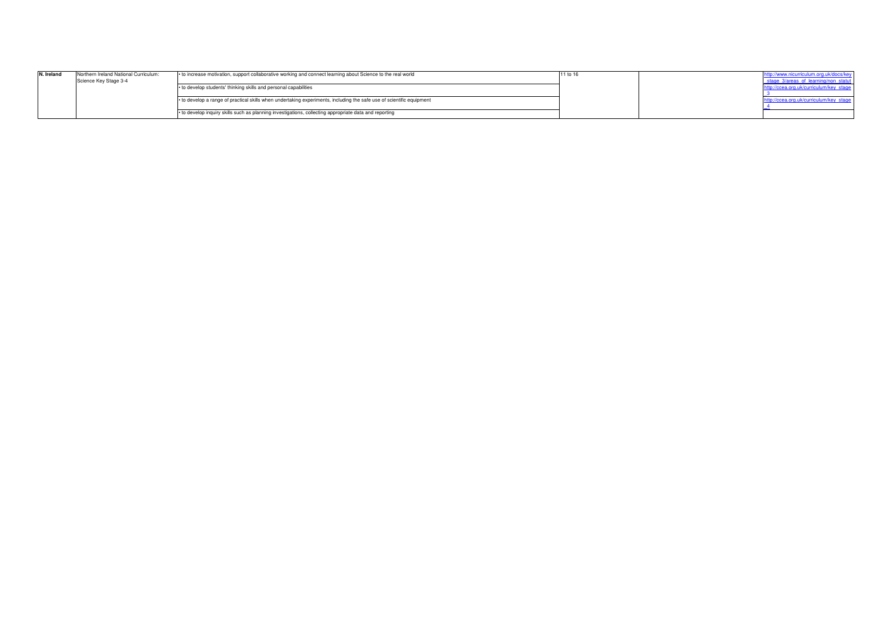| N. Ireland | Northern Ireland National Curriculum:<br>Science Key Stage 3-4 | • to increase motivation, support collaborative working and connect learning about Science to the real world          | 11 to | ttp://www.nicurriculum.org.uk/docs/k<br>stage 3/areas of learni |
|------------|----------------------------------------------------------------|-----------------------------------------------------------------------------------------------------------------------|-------|-----------------------------------------------------------------|
|            |                                                                | • to develop students' thinking skills and personal capabilities                                                      |       |                                                                 |
|            |                                                                | • to develop a range of practical skills when undertaking experiments, including the safe use of scientific equipment |       | .ittp://ccea.org.uk/curriculum/key_star                         |
|            |                                                                | • to develop inquiry skills such as planning investigations, collecting appropriate data and reporting                |       |                                                                 |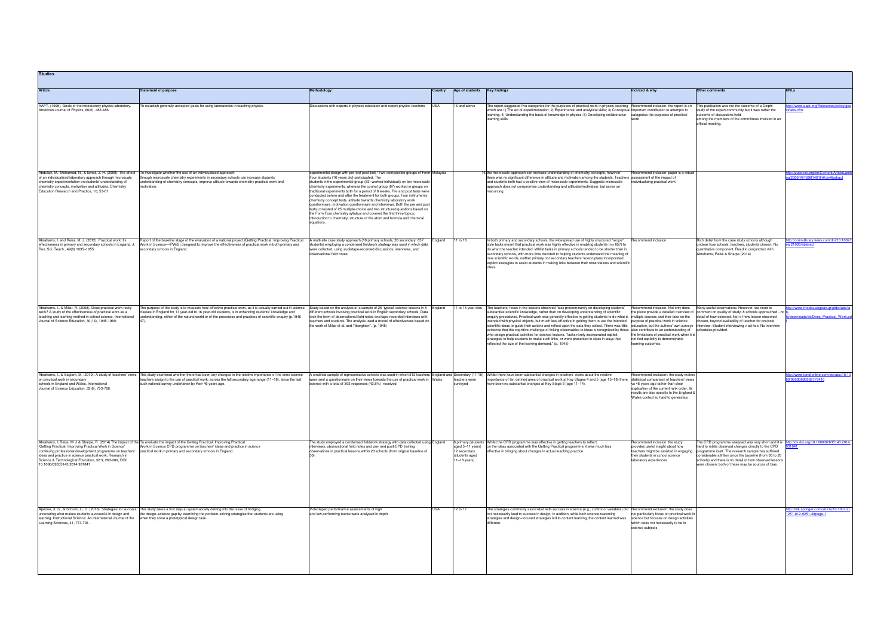| <b>Studies</b>                                                                                                                                                                                                                                                                                   |                                                                                                                                                                                                                                                                                                                                                                                                                         |                                                                                                                                                                                                                                                                                                                                                                                                                                                                                                                                                                                                                                                                                                                                                                                                                                                                                |         |                                                                                             |                                                                                                                                                                                                                                                                                                                                                                                                                                                                                                                                                                                                                                                                                                                                                                                                                                                                                                                                                                                                                                                                          |                                                                                                                                                                                                              |                                                                                                                                                                                                                                                                                                                                                                                                                              |                                                                                   |
|--------------------------------------------------------------------------------------------------------------------------------------------------------------------------------------------------------------------------------------------------------------------------------------------------|-------------------------------------------------------------------------------------------------------------------------------------------------------------------------------------------------------------------------------------------------------------------------------------------------------------------------------------------------------------------------------------------------------------------------|--------------------------------------------------------------------------------------------------------------------------------------------------------------------------------------------------------------------------------------------------------------------------------------------------------------------------------------------------------------------------------------------------------------------------------------------------------------------------------------------------------------------------------------------------------------------------------------------------------------------------------------------------------------------------------------------------------------------------------------------------------------------------------------------------------------------------------------------------------------------------------|---------|---------------------------------------------------------------------------------------------|--------------------------------------------------------------------------------------------------------------------------------------------------------------------------------------------------------------------------------------------------------------------------------------------------------------------------------------------------------------------------------------------------------------------------------------------------------------------------------------------------------------------------------------------------------------------------------------------------------------------------------------------------------------------------------------------------------------------------------------------------------------------------------------------------------------------------------------------------------------------------------------------------------------------------------------------------------------------------------------------------------------------------------------------------------------------------|--------------------------------------------------------------------------------------------------------------------------------------------------------------------------------------------------------------|------------------------------------------------------------------------------------------------------------------------------------------------------------------------------------------------------------------------------------------------------------------------------------------------------------------------------------------------------------------------------------------------------------------------------|-----------------------------------------------------------------------------------|
| <b>Article</b>                                                                                                                                                                                                                                                                                   | <b>Statement of purpose</b>                                                                                                                                                                                                                                                                                                                                                                                             | Methodology                                                                                                                                                                                                                                                                                                                                                                                                                                                                                                                                                                                                                                                                                                                                                                                                                                                                    | Country | Age of students                                                                             | <b>Key findings</b>                                                                                                                                                                                                                                                                                                                                                                                                                                                                                                                                                                                                                                                                                                                                                                                                                                                                                                                                                                                                                                                      | Incl/excl & why                                                                                                                                                                                              | Other comments                                                                                                                                                                                                                                                                                                                                                                                                               | <b>URLs</b>                                                                       |
| AAPT. (1998). Goals of the introductory physics laboratory.<br>American Journal of Physics, 66(6), 483-486.                                                                                                                                                                                      | To establish generally accepted goals for using laboratories in teaching physics                                                                                                                                                                                                                                                                                                                                        | Discussions with experts in physics education and expert physics teachers                                                                                                                                                                                                                                                                                                                                                                                                                                                                                                                                                                                                                                                                                                                                                                                                      | USA     | 16 and above                                                                                | The report suggested five categories for the purposes of practical work in physics teaching Recommend inclusion: the report is an<br>which are 1) The art of experimentation; 2) Experimental and analytical skills; 3) Conceptual important contribution to attempts to<br>learning; 4) Understanding the basis of knowledge in physics; 5) Developing collaborative categorise the purposes of practical<br>learning skills.                                                                                                                                                                                                                                                                                                                                                                                                                                                                                                                                                                                                                                           |                                                                                                                                                                                                              | This publication was not the outcome of a Delphi<br>study of the expert community but it was rather the<br>outcome of discussions held<br>among the members of the committees involved in an<br>official meeting.                                                                                                                                                                                                            | ttp://www.aapt.org/Resources/policy/goa<br>oflabs.cfm                             |
| Abdullah, M., Mohamed, N., & Ismail, Z. H. (2009). The effect<br>of an individualized laboratory approach through microscale<br>chemistry experimentation on students' understanding of<br>chemistry concepts, motivation and attitudes. Chemistry<br>Education Research and Practice, 10, 53-61 | To investigate whether the use of an individualized approach<br>hrough microscale chemistry experiments in secondary schools can increase students'<br>understanding of chemistry concepts, improve attitude towards chemistry practical work and<br>motivation.                                                                                                                                                        | experimental design with pre-test post-test / Two comparable groups of Form Malaysia<br>Four students (16 years old) participated. The<br>students in the experimental group (83) worked individually on ten microscale<br>chemistry experiments, whereas the control group (87) worked in groups on<br>traditional experiments both for a period of 8 weeks. Pre and post tests were<br>conducted before and after the treatment for both groups. Four instruments:<br>chemistry concept tests, attitude towards chemistry laboratory work<br>questionnaire, motivation questionnaire and interviews. Both the pre and post<br>tests consisted of 25 multiple-choice and two structured questions based on<br>the Form Four chemistry syllabus and covered the first three topics:<br>introduction to chemistry, structure of the atom and formula and chemical<br>equations. |         |                                                                                             | If the microscale approach can increase understanding of chemistry concepts, however,<br>there was no significant difference in attitude and motivation among the students. Teachers assessment of the impact of<br>and students both had a positive view of microscale experiments. Suggests microscale<br>approach does not compromise understanding and attitudes/motivation, but saves on<br>resourcing.                                                                                                                                                                                                                                                                                                                                                                                                                                                                                                                                                                                                                                                             | Recommend inclusion: paper is a robus<br>individualising practical work                                                                                                                                      |                                                                                                                                                                                                                                                                                                                                                                                                                              | <u>tp://pubs.rsc.org/en/Content/ArticleLan</u><br>1/2009/RP/B901461F#!divAbstract |
| Abrahams, I. and Reiss, M. J. (2012). Practical work: Its<br>effectiveness in primary and secondary schools in England. J.<br>Res. Sci. Teach., 49(8) 1035-1055.                                                                                                                                 | Report of the baseline stage of the evaluation of a national project (Getting Practical: Improving Practical<br>Work in Science-IPWiS) designed to improve the effectiveness of practical work in both primary and<br>secondary schools in England.                                                                                                                                                                     | A multi-site case study approach (10 primary schools, 20 secondary; 857<br>tudents) employing a condensed fieldwork strategy was used in which data<br>were collected, using audiotape-recorded discussions, interviews, and<br>observational field notes.                                                                                                                                                                                                                                                                                                                                                                                                                                                                                                                                                                                                                     | ngland  | 11 to 18                                                                                    | In both primary and secondary schools, the widespread use of highly structured "recipe"<br>style tasks meant that practical work was highly effective in enabling students ( $n = 857$ ) to<br>do what the teacher intended. Whilst tasks in primary schools tended to be shorter than in<br>secondary schools, with more time devoted to helping students understand the meaning of<br>new scientific words, neither primary nor secondary teachers' lesson plans incorporated<br>explicit strategies to assist students in making links between their observations and scientific                                                                                                                                                                                                                                                                                                                                                                                                                                                                                      | Recommend inclusion                                                                                                                                                                                          | Rich detail from the case study schools although<br>unclear how schools, teachers, students chosen. No<br>quantitative component. Read in conjunction with<br>Abrahams, Reiss & Sharpe (2014)                                                                                                                                                                                                                                | o://onlinelibrary.wiley.com/doi/10.1002/<br>a.21036/abstract                      |
| Abrahams, I., & Millar, R. (2008). Does practical work really<br>work? A study of the effectiveness of practical work as a<br>teaching and learning method in school science. International<br>Journal of Science Education, 30(14), 1945-1969.                                                  | The purpose of the study is to measure how effective practical work, as it is actually carried out in science Study based on the analysis of a sample of 25 'typical' science lessons in 8 England<br>lasses in England for 11 year-old to 16 year-old students, is in enhancing students' knowledge and<br>understanding, either of the natural world or of the processes and practices of scientific enquiry (p.1946- | different schools involving practical work in English secondary schools. Data<br>took the form of observational field notes and tape-recorded interviews with<br>eachers and students. The analysis used a model of effectiveness based or<br>the work of Millar et al. and Tiberghien". (p. 1945)                                                                                                                                                                                                                                                                                                                                                                                                                                                                                                                                                                             |         |                                                                                             | 11 to 16 year olds The teachers' focus in the lessons observed "was predominantly on developing students'<br>substantive scientific knowledge, rather than on developing understanding of scientific<br>enquiry procedures. Practical work was generally effective in getting students to do what is multiple sources and their take on the<br>intended with physical objects, but much less effective in getting them to use the intended purpose of practical work in science<br>scientific ideas to guide their actions and reflect upon the data they collect. There was little education, but the authors' own surveys interview. Student interviewing v ad hoc. No interview<br>evidence that the cognitive challenge of linking observables to ideas is recognized by those also contribute to an understanding of<br>who design practical activities for science lessons. Tasks rarely incorporated explicit<br>strategies to help students to make such links, or were presented in class in ways that<br>reflected the size of the learning demand." (p. 1945) | Recommend inclusion: Not only does<br>the limitations of practical work when it is<br>not tied explicitly to demonstrable<br>learning outcomes.                                                              | Many useful observations. However, we need to<br>the piece provide a detailed overview of comment on quality of study: 8 schools approached - no<br>detail of how selected. Nor of how lesson observed<br>chosen, beyond availability of teacher for pre/post<br>schedules provided.                                                                                                                                         | ttp://www.rhodes.aegean.gr/ptde/labs/la<br>e/downloads/cti/Does Practical Work.pd |
| Abrahams, I., & Saglam, M. (2010). A study of teachers' views<br>on practical work in secondary<br>schools in England and Wales. International<br>Journal of Science Education, 32(6), 753-768.                                                                                                  | This study examined whether there had been any changes in the relative importance of the aims science<br>teachers assign to the use of practical work, across the full secondary age range (11-18), since the last<br>such national survey undertaken by Kerr 46 years ago.                                                                                                                                             | A stratified sample of representative schools was used in which 912 teachers<br>vere sent a questionnaire on their views towards the use of practical work in Wales<br>science with a total of 393 responses (42.5%) received.                                                                                                                                                                                                                                                                                                                                                                                                                                                                                                                                                                                                                                                 |         | England and Secondary (11-18)<br>teachers were<br>surveyed                                  | Whilst there have been substantial changes in teachers' views about the relative<br>importance of ten defined aims of practical work at Key Stages 4 and 5 (age 15-18) there statistical comparison of teachers' views<br>have been no substantial changes at Key Stage 3 (age 11-14).                                                                                                                                                                                                                                                                                                                                                                                                                                                                                                                                                                                                                                                                                                                                                                                   | lecommend exclusion: the study make<br>vs 46 years ago rather than clear<br>explication of the current rank order. Its<br>results are also specific to the England &<br>Wales context so hard to generalise. |                                                                                                                                                                                                                                                                                                                                                                                                                              | p://www.tandfonline.com/doi/abs/10.10<br>09500690902777410                        |
| 'Getting Practical: Improving Practical Work in Science'<br>continuing professional development programme on teachers'<br>ideas and practice in science practical work, Research in<br>Science & Technological Education, 32:3, 263-280, DOI:<br>10.1080/02635143.2014.931841                    | Abrahams, I; Reiss, M. J & Sharpe, R. (2014) The impact of the To evaluate the impact of the Getting Practical: Improving Practical<br>Work in Science CPD programme on teachers' ideas and practice in science<br>practical work in primary and secondary schools in England.                                                                                                                                          | The study employed a condensed fieldwork strategy with data collected using England<br>interviews, observational field notes and pre- and post-CPD training<br>observations in practical lessons within 20 schools (from original baseline of                                                                                                                                                                                                                                                                                                                                                                                                                                                                                                                                                                                                                                  |         | 8 primary (students<br>aged 5-11 years)<br>12 secondary<br>(students aged<br>$11-18$ years) | Whilst the CPD programme was effective in getting teachers to reflect<br>on the ideas associated with the Getting Practical programme, it was much less<br>effective in bringing about changes in actual teaching practice.                                                                                                                                                                                                                                                                                                                                                                                                                                                                                                                                                                                                                                                                                                                                                                                                                                              | Recommend inclusion: the study<br>provides useful insight about how<br>their students in school science<br>laboratory experiences                                                                            | The CPD programme analysed was very short and it is http://dx.doi.org/10.1080/02635143.2014<br>hard to relate observed changes directly to the CPD<br>teachers might be assisted in engaging programme itself. The research sample has suffered<br>considerable attrition since the baseline (from 30 to 20<br>schools) and there is no detail of how observed lessons<br>were chosen: both of these may be sources of bias. | 331841                                                                            |
| Apedoe, X. S., & Schunn, C. D. (2013). Strategies for success:<br>uncovering what makes students successful in design and<br>learning. Instructional Science: An International Journal of the<br>Learning Sciences, 41, 773-791.                                                                 | This study takes a first step at systematically delving into the issue of bridging<br>the design-science gap by examining the problem-solving strategies that students are using<br>when they solve a prototypical design task.                                                                                                                                                                                         | Videotaped performance assessments of high<br>and low performing teams were analysed in depth.                                                                                                                                                                                                                                                                                                                                                                                                                                                                                                                                                                                                                                                                                                                                                                                 |         | 12 to 17                                                                                    | The strategies commonly associated with success in science (e.g., control of variables) did Recommend exclusion: the study does<br>not necessarily lead to success in design. In addition, while both science reasoning<br>strategies and design-focused strategies led to content learning, the content learned was<br>different.                                                                                                                                                                                                                                                                                                                                                                                                                                                                                                                                                                                                                                                                                                                                       | not particularly focus on practical work in<br>science but focuses on design activities<br>which does not necessarily to be in<br>science subjects                                                           |                                                                                                                                                                                                                                                                                                                                                                                                                              | <u>://link.springer.com/article/10.1007/s1</u><br>251-012-9251-4#page-1           |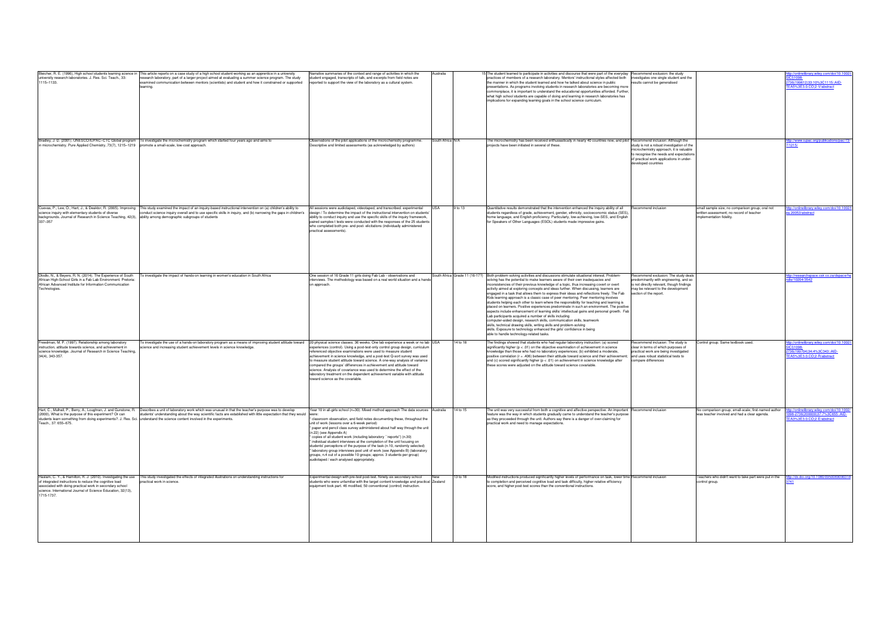| university research laboratories. J. Res. Sci. Teach., 33:<br>1115-1133.                                                                                                                                                                                            | Bleicher, R. E. (1996), High school students learning science in This article reports on a case study of a high school student working as an apprentice in a university<br>esearch laboratory, part of a larger project aimed at evaluating a summer science program. The study<br>examined communication between mentors (scientists) and student and how it constrained or supported<br>earning. | Narrative summaries of the context and range of activities in which the<br>student engaged, transcripts of talk, and excerpts from field notes are<br>reported to support the view of the laboratory as a cultural system.                                                                                                                                                                                                                                                                                                                                                                                                                                                                                                                                           | Australia       |          | The student learned to participate in activities and discourse that were part of the everyday Recommend exclusion: the study<br>practices of members of a research laboratory. Mentors' instructional styles affected both<br>the manner in which the student learned and how he talked about science in public<br>presentations. As programs involving students in research laboratories are becoming more<br>commonplace, it is important to understand the educational opportunities afforded. Further,<br>what high school students are capable of doing and learning in research laboratories has<br>implications for expanding learning goals in the school science curriculum.                                                                                                                                                                                                                                                                                                                                                                                                                                                                                                                         | investigates one single student and the<br>results cannot be generalised                                                                                                                         |                                                                                                                         | c://onlinelibrary.wiley.com/doi/10.10<br>CI)1098<br>736(199612)33:10%3C1115::AID-<br>EA5%3E3.0.CO;2-V/abstract |
|---------------------------------------------------------------------------------------------------------------------------------------------------------------------------------------------------------------------------------------------------------------------|----------------------------------------------------------------------------------------------------------------------------------------------------------------------------------------------------------------------------------------------------------------------------------------------------------------------------------------------------------------------------------------------------|----------------------------------------------------------------------------------------------------------------------------------------------------------------------------------------------------------------------------------------------------------------------------------------------------------------------------------------------------------------------------------------------------------------------------------------------------------------------------------------------------------------------------------------------------------------------------------------------------------------------------------------------------------------------------------------------------------------------------------------------------------------------|-----------------|----------|---------------------------------------------------------------------------------------------------------------------------------------------------------------------------------------------------------------------------------------------------------------------------------------------------------------------------------------------------------------------------------------------------------------------------------------------------------------------------------------------------------------------------------------------------------------------------------------------------------------------------------------------------------------------------------------------------------------------------------------------------------------------------------------------------------------------------------------------------------------------------------------------------------------------------------------------------------------------------------------------------------------------------------------------------------------------------------------------------------------------------------------------------------------------------------------------------------------|--------------------------------------------------------------------------------------------------------------------------------------------------------------------------------------------------|-------------------------------------------------------------------------------------------------------------------------|----------------------------------------------------------------------------------------------------------------|
| in microchemistry. Pure Applied Chemistry, 73(7), 1215-1219 promote a small-scale, low-cost approach.                                                                                                                                                               | Bradley, J. D. (2001). UNESCO/IUPAC-CTC Global program To investigate the microchemistry program which started four years ago and aims to                                                                                                                                                                                                                                                          | Observations of the pilot applications of the microchemistry programme.<br>Descriptive and limited assessments (as acknowledged by authors)                                                                                                                                                                                                                                                                                                                                                                                                                                                                                                                                                                                                                          | outh Africa N/A |          | The microchemistry has been received enthusiastically in nearly 40 countries now, and pilot Recommend inclusion: Although the<br>projects have been initiated in several of these.                                                                                                                                                                                                                                                                                                                                                                                                                                                                                                                                                                                                                                                                                                                                                                                                                                                                                                                                                                                                                            | study is not a robust investigation of the<br>microchemistry approach, it is valuable<br>recognise the needs and expectations<br>of practical work applications in under-<br>developed countries |                                                                                                                         | p://www.iupac.org/publications/pac/73<br>1215/                                                                 |
| Cuevas, P., Lee, O., Hart, J., & Deaktor, R. (2005). Improving<br>science inquiry with elementary students of diverse<br>backgrounds. Journal of Research in Science Teaching, 42(3), ability among demographic subgroups of students<br>337-357                    | This study examined the impact of an inquiry-based instructional intervention on (a) children's ability to<br>conduct science inquiry overall and to use specific skills in inquiry, and (b) narrowing the gaps in children's                                                                                                                                                                      | Il sessions were audiotaped, videotaped, and transcribed, experimental<br>design / To determine the impact of the instructional intervention on students'<br>ability to conduct inquiry and use the specific skills of the inquiry framework,<br>paired samples t tests were conducted with the responses of the 25 students<br>who completed both pre- and post- elicitations (individually administered<br>practical assessments).                                                                                                                                                                                                                                                                                                                                 |                 | 9 to 13  | Quantitative results demonstrated that the intervention enhanced the inquiry ability of all<br>students regardless of grade, achievement, gender, ethnicity, socioeconomic status (SES),<br>home language, and English proficiency. Particularly, low-achieving, low-SES, and English<br>for Speakers of Other Languages (ESOL) students made impressive gains.                                                                                                                                                                                                                                                                                                                                                                                                                                                                                                                                                                                                                                                                                                                                                                                                                                               | ecommend inclusion                                                                                                                                                                               | small sample size; no comparison group; oral not<br>written assessment; no record of teacher<br>mplementation fidelity. | p://onlinelibrary.wiley.com/doi/10.1002<br>.20053/abstract                                                     |
| Dlodlo, N., & Beyers, R. N. (2014). The Experience of South<br>African High-School Girls in a Fab Lab Environment. Pretoria:<br>African Advanced Institute for Information Communication<br>Technologies.                                                           | To investigate the impact of hands-on learning in women's education in South Africa                                                                                                                                                                                                                                                                                                                | One session of 16 Grade 11 girls doing Fab Lab - observations and<br>nterviews. The methodology was based on a real world situation and a hand<br>on approach.                                                                                                                                                                                                                                                                                                                                                                                                                                                                                                                                                                                                       |                 |          | South Africa Grade 11 (16-17?) Both problem-solving activities and discussions stimulate situational interest. Problem-<br>solving has the potential to make learners aware of their own inadequacies and<br>inconsistencies of their previous knowledge of a topic, thus increasing covert or overt<br>activity aimed at exploring concepts and ideas further. When discussing, learners are<br>engaged in a task that allows them to express their ideas and reflections freely. The Fab<br>Kids learning approach is a classic case of peer mentoring. Peer mentoring involves<br>students helping each other to learn where the responsibility for teaching and learning is<br>placed on learners. Positive experiences predominate in such an environment. The positive<br>aspects include enhancement of learning skills/ intellectual gains and personal growth. Fab<br>Lab participants acquired a number of skills including<br>computer-aided design, research skills, communication skills, teamwork<br>skills, technical drawing skills, writing skills and problem-solving<br>skills. Exposure to technology enhanced the girls' confidence in being<br>able to handle technology-related tasks. | Recommend exclusion: The study deals<br>predominantly with engineering, and so<br>is not directly relevant, though findings<br>nay be relevant to the development<br>section of the report.      |                                                                                                                         | y://researchspace.csir.co.za/dspace/h<br>e/10204/3542                                                          |
| Freedman, M. P. (1997). Relationship among laboratory<br>instruction, attitude towards science, and achievement in<br>science knowledge. Journal of Research in Science Teaching,<br>34(4), 343-357.                                                                | To investigate the use of a hands-on laboratory program as a means of improving student attitude toward 20 physical science classes. 36 weeks. One lab experience a week or no lab USA<br>science and increasing student achievement levels in science knowledge.                                                                                                                                  | experiences (control). Using a post-test-only control group design, curriculum<br>referenced objective examinations were used to measure student<br>achievement in science knowledge, and a post-test Q-sort survey was used<br>to measure student attitude toward science. A one-way analysis of variance<br>compared the groups' differences in achievement and attitude toward<br>science. Analysis of covariance was used to determine the effect of the<br>laboratory treatment on the dependent achievement variable with attitude<br>toward science as the covariable.                                                                                                                                                                                        |                 | 14 to 18 | The findings showed that students who had regular laboratory instruction: (a) scored<br>significantly higher ( $p < .01$ ) on the objective examination of achievement in science<br>knowledge than those who had no laboratory experiences; (b) exhibited a moderate,<br>positive correlation (r = .406) between their attitude toward science and their achievement; and uses robust statistical tests to<br>and (c) scored significantly higher ( $p < .01$ ) on achievement in science knowledge after<br>these scores were adjusted on the attitude toward science covariable.                                                                                                                                                                                                                                                                                                                                                                                                                                                                                                                                                                                                                           | Recommend inclusion: The study is<br>clear in terms of which purposes of<br>practical work are being investigated<br>compare differences                                                         | Control group. Same textbook used.                                                                                      | o://onlinelibrary.wiley.com/doi/10.100<br>736(199704)34:4%3C343::AID-<br>EA5%3E3.0.CO;2-R/abstract             |
| (2000). What is the purpose of this experiment? Or can<br>students learn something from doing experiments?. J. Res. Sci. understand the science content involved in the experiments.<br>Teach., 37: 655-675.                                                        | Hart, C., Mulhall, P., Berry, A., Loughran, J. and Gunstone, R. Describes a unit of laboratory work which was unusual in that the teacher's purpose was to develop<br>students' understanding about the way scientific facts are established with little expectation that they would were:                                                                                                         | Year 10 in all-girls school (n=30). Mixed method approach The data sources Australia<br>classroom observation, and field notes documenting these, throughout the<br>unit of work (lessons over a 6-week period)<br>* paper and pencil class survey administered about half way through the unit<br>(n.22) (see Appendix A)<br>* copies of all student work (including laboratory "reports") (n.30)<br>* individual student interviews at the completion of the unit focusing on<br>students' perceptions of the purpose of the task (n.10, randomly selected)<br>* laboratory group interviews post unit of work (see Appendix B) (laboratory<br>groups, n.4 out of a possible 10 groups; approx. 3 students per group)<br>audiotaped / each analysed appropriately. |                 | 14 to 15 | he unit was very successful from both a cognitive and affective perspective. An important<br>feature was the way in which students gradually came to understand the teacher's purpose<br>as they proceeded through the unit. Authors say there is a danger of over-claiming for<br>practical work and need to manage expectations.                                                                                                                                                                                                                                                                                                                                                                                                                                                                                                                                                                                                                                                                                                                                                                                                                                                                            | tecommend inclusion                                                                                                                                                                              | No comparison group; small-scale; first-named author<br>was teacher involved and had a clear agenda.                    | p://onlinelibrary.wiley.com/doi/10.100<br>098-2736(200009)37:7%3C655::AID-<br>EA3%3E3.0.CO;2-E/abstract        |
| Haslam, C. Y., & Hamilton, R. J. (2010). Investigating the use<br>of integrated instructions to reduce the cognitive load<br>associated with doing practical work in secondary school<br>science. International Journal of Science Education, 32(13),<br>1715-1737. | This study investigated the effects of integrated illustrations on understanding instructions for<br>practical work in science.                                                                                                                                                                                                                                                                    | Experimental design with pre-test post-test. Ninety-six secondary school<br>students who were unfamiliar with the target content knowledge and practical Zealand<br>equipment took part. 46 modified, 50 conventional (control) instruction.                                                                                                                                                                                                                                                                                                                                                                                                                                                                                                                         |                 | 13 to 18 | Modified instructions produced significantly higher levels of performance on task, lower time Recommend inclusion<br>to completion and perceived cognitive load and task difficulty, higher relative efficiency<br>score, and higher post-test scores than the conventional instructions.                                                                                                                                                                                                                                                                                                                                                                                                                                                                                                                                                                                                                                                                                                                                                                                                                                                                                                                     |                                                                                                                                                                                                  | Teachers who didn't want to take part were put in the<br>control group.                                                 | http://dx.doi.org/10.1080/09500690903                                                                          |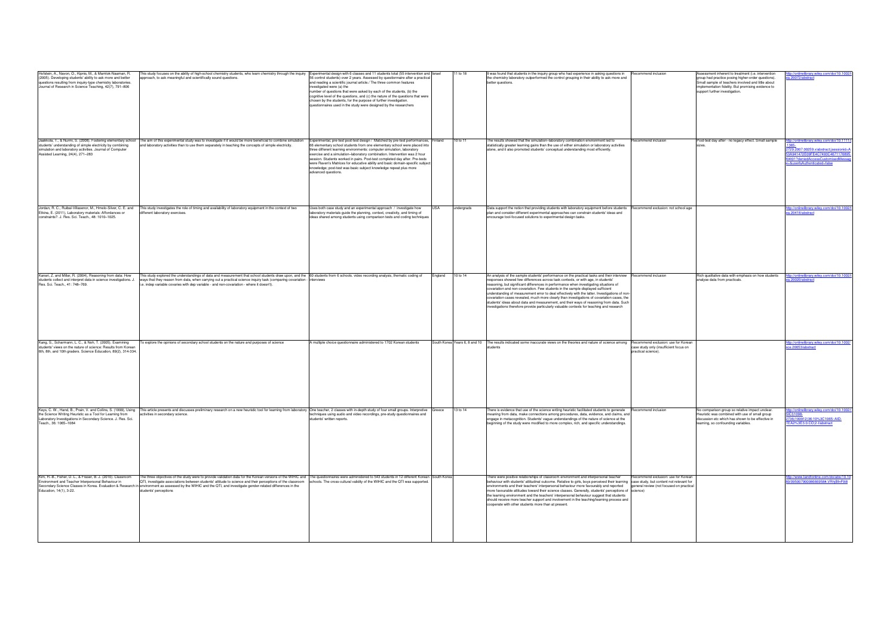| Hofstein, A., Navon, O., Kipnis, M., & Mamlok-Naaman, R.<br>(2005). Developing students' ability to ask more and better<br>questions resulting from inquiry-type chemistry laboratories.<br>Journal of Research in Science Teaching, 42(7), 791-806 | This study focuses on the ability of high-school chemistry students, who learn chemistry through the inquiry Experimental design with 6 classes and 11 students total (55 intervention and Israel<br>approach, to ask meaningful and scientifically sound questions.                                                                                                                                                                                                                                                                                                                      | 56 control students) over 2 years. Assessed by questionnaire after a practical<br>and reading a scientific journal article./ The three common features<br>investigated were (a) the<br>number of questions that were asked by each of the students, (b) the<br>cognitive level of the questions, and (c) the nature of the questions that were<br>chosen by the students, for the purpose of further investigation.<br>questionnaires used in the study were designed by the researchers     | 11 to 18                  | t was found that students in the inquiry group who had experience in asking questions in<br>the chemistry laboratory outperformed the control grouping in their ability to ask more and<br>better questions.                                                                                                                                                                                                                                                                                                                                                                                                                                                                                                                                          | Recommend inclusion                                                                                  | Assessment inherent to treatment (i.e. intervention<br>group had practice posing higher-order questions).<br>Small sample of teachers involved and little about<br>implementation fidelity. But promising evidence to<br>support further investigation. | ://onlinelibrary.wiley.com/doi/10.100<br>.20072/abstract                                                                                                                               |
|-----------------------------------------------------------------------------------------------------------------------------------------------------------------------------------------------------------------------------------------------------|-------------------------------------------------------------------------------------------------------------------------------------------------------------------------------------------------------------------------------------------------------------------------------------------------------------------------------------------------------------------------------------------------------------------------------------------------------------------------------------------------------------------------------------------------------------------------------------------|----------------------------------------------------------------------------------------------------------------------------------------------------------------------------------------------------------------------------------------------------------------------------------------------------------------------------------------------------------------------------------------------------------------------------------------------------------------------------------------------|---------------------------|-------------------------------------------------------------------------------------------------------------------------------------------------------------------------------------------------------------------------------------------------------------------------------------------------------------------------------------------------------------------------------------------------------------------------------------------------------------------------------------------------------------------------------------------------------------------------------------------------------------------------------------------------------------------------------------------------------------------------------------------------------|------------------------------------------------------------------------------------------------------|---------------------------------------------------------------------------------------------------------------------------------------------------------------------------------------------------------------------------------------------------------|----------------------------------------------------------------------------------------------------------------------------------------------------------------------------------------|
| Jaakkola, T., & Nurmi, S. (2008). Fostering elementary school<br>students' understanding of simple electricity by combining<br>simulation and laboratory activities. Journal of Computer<br>Assisted Learning, 24(4), 271-283                       | The aim of this experimental study was to investigate if it would be more beneficial to combine simulation Experimental, pre-test post-test design / Matched by pre-test performances, Finland<br>and laboratory activities than to use them separately in teaching the concepts of simple electricity.                                                                                                                                                                                                                                                                                   | 66 elementary school students from one elementary school were placed into<br>three different learning environments: computer simulation, laboratory<br>exercise and a simulation-laboratory combination. Intervention was 2 hour<br>session. Students worked in pairs. Post-test completed day after. Pre-tests<br>were Raven's Matrices for educative ability and basic domain-specific subject<br>knowledge; post-test was basic subject knowledge repeat plus more<br>advanced questions. | 10 to 11                  | The results showed that the simulation-laboratory combination environment led to<br>statistically greater learning gains than the use of either simulation or laboratory activities<br>alone, and it also promoted students' conceptual understanding most efficiently.                                                                                                                                                                                                                                                                                                                                                                                                                                                                               | Recommend inclusion                                                                                  | Post-test day after - no legacy effect. Small sample                                                                                                                                                                                                    | tp://onlinelibrary.wiley.com/doi/10.1111/<br>729.2007.00259.x/abstract;jsessionid=A<br>3A941472E09FE4C7493C467117689<br>4t01?deniedAccessCustomisedMessa<br>BuserIsAuthenticated=false |
| Jordan, R. C., Ruibal-Villasenor, M., Hmelo-Silver, C. E. and<br>Etkina, E. (2011), Laboratory materials: Affordances or<br>constraints?, J. Res. Sci. Teach., 48: 1010-1025.                                                                       | This study investigates the role of timing and availability of laboratory equipment in the context of two<br>different laboratory exercises.                                                                                                                                                                                                                                                                                                                                                                                                                                              | Uses both case study and an experimental approach / investigate how<br>laboratory materials guide the planning, context, creativity, and timing of<br>ideas shared among students using comparison tests and coding techniques                                                                                                                                                                                                                                                               | <b>IISA</b><br>undergrads | Data support the notion that providing students with laboratory equipment before students<br>plan and consider different experimental approaches can constrain students' ideas and<br>encourage tool-focused solutions to experimental design tasks.                                                                                                                                                                                                                                                                                                                                                                                                                                                                                                  | Recommend exclusion: not school age                                                                  |                                                                                                                                                                                                                                                         | p://onlinelibrary.wiley.com/doi/10.1002<br>a.20418/abstract                                                                                                                            |
| Kanari, Z. and Millar, R. (2004), Reasoning from data: How<br>students collect and interpret data in science investigations. J.<br>Res. Sci. Teach., 41: 748-769.                                                                                   | his study explored the understandings of data and measurement that school students draw upon, and the 60 students from 6 schools. video recording analysis, thematic coding of<br>ways that they reason from data, when carrying out a practical science inquiry task (comparing covariation - interviews<br>i.e. indep variable covaries with dep variable - and non-covariation - where it doesn't).                                                                                                                                                                                    |                                                                                                                                                                                                                                                                                                                                                                                                                                                                                              | 10 to 14<br>ingland       | An analysis of the sample students' performance on the practical tasks and their interview<br>responses showed few differences across task contexts, or with age, in students'<br>reasoning, but significant differences in performance when investigating situations of<br>covariation and non-covariation. Few students in the sample displayed sufficient<br>understanding of measurement error to deal effectively with the latter. Investigations of non-<br>covariation cases revealed, much more clearly than investigations of covariation cases, the<br>students' ideas about data and measurement, and their ways of reasoning from data. Such<br>investigations therefore provide particularly valuable contexts for teaching and research | Recommend inclusion                                                                                  | Rich qualitative data with emphasis on how students<br>analyse data from practicals.                                                                                                                                                                    | ttp://onlinelibrary.wiley.com/doi/10.1002<br>a.20020/abstract                                                                                                                          |
| Kang, S., Scharmann, L. C., & Noh, T. (2005). Examining<br>students' views on the nature of science: Results from Korean<br>6th, 8th, and 10th graders. Science Education, 89(2), 314-334.                                                          | o explore the opinions of secondary school students on the nature and purposes of science                                                                                                                                                                                                                                                                                                                                                                                                                                                                                                 | A multiple choice questionnaire administered to 1702 Korean students                                                                                                                                                                                                                                                                                                                                                                                                                         |                           | South Korea Years 6, 8 and 10 The results indicated some inaccurate views on the theories and nature of science among<br>students                                                                                                                                                                                                                                                                                                                                                                                                                                                                                                                                                                                                                     | Recommend exclusion: use for Korean<br>case study only (insufficient focus on<br>practical science). |                                                                                                                                                                                                                                                         | p://onlinelibrary.wiley.com/doi/10.1002<br>e.20053/abstract                                                                                                                            |
| Keys, C. W., Hand, B., Prain, V. and Collins, S. (1999), Using<br>the Science Writing Heuristic as a Tool for Learning from<br>Laboratory Investigations in Secondary Science. J. Res. Sci.<br>Teach., 36: 1065-1084                                | This article presents and discusses preliminary research on a new heuristic tool for learning from laboratory One teacher, 2 classes with in-depth study of four small groups. Interpretive<br>activities in secondary science.                                                                                                                                                                                                                                                                                                                                                           | techniques using audio and video recordings, pre-study questionnaires and<br>students' written reports.                                                                                                                                                                                                                                                                                                                                                                                      | 13 to 14<br>Greece        | here is evidence that use of the science writing heuristic facilitated students to generate<br>meaning from data, make connections among procedures, data, evidence, and claims, and<br>engage in metacognition. Students' vague understandings of the nature of science at the<br>beginning of the study were modified to more complex, rich, and specific understandings.                                                                                                                                                                                                                                                                                                                                                                           | ecommend inclusion                                                                                   | No comparison group so relative impact unclear.<br>Heuristic was combined with use of small group<br>discussion etc which has shown to be effective in<br>learning, so confounding variables.                                                           | p://onlinelibrary.wiley.com/doi/10.100<br>CI)1098-<br>736(199912)36:10%3C1065::AID-<br>EA2%3E3.0.CO;2-l/abstract                                                                       |
| Kim, H.-B., Fisher, D. L., & Fraser, B. J. (2010). Classroom<br>Environment and Teacher Interpersonal Behaviour in<br>Education, 14(1), 3-22.                                                                                                       | The three objectives of the study were to provide validation data for the Korean versions of the WIHIC and The questionnaires were administered to 543 students in 12 different Korean South Korea<br>QTI, investigate associations between students' attitude to science and their perceptions of the classroom schools. The cross-cultural validity of the WIHIC and the QTI was supported<br>Secondary Science Classes in Korea. Evaluation & Research in environment as assessed by the WIHIC and the QTI, and investigate gender-related differences in the<br>students' perceptions |                                                                                                                                                                                                                                                                                                                                                                                                                                                                                              |                           | here were positive relationships of classroom environment and interpersonal teacher<br>behaviour with students' attitudinal outcome. Relative to girls, boys perceived their learning case study, but content not relevant for<br>environments and their teachers' interpersonal behaviour more favourably and reported<br>more favourable attitudes toward their science classes. Generally, students' perceptions of science)<br>the learning environment and the teachers' interpersonal behaviour suggest that students<br>should receive more teacher support and involvement in the teaching/learning process and<br>cooperate with other students more than at present.                                                                        | Recommend exclusion: use for Korean<br>general review (not focused on practical                      |                                                                                                                                                                                                                                                         | t <mark>p://www.tandfonline.com/doi/abs/10.1</mark><br>//09500790008666958#.VRhjBfnF9i8                                                                                                |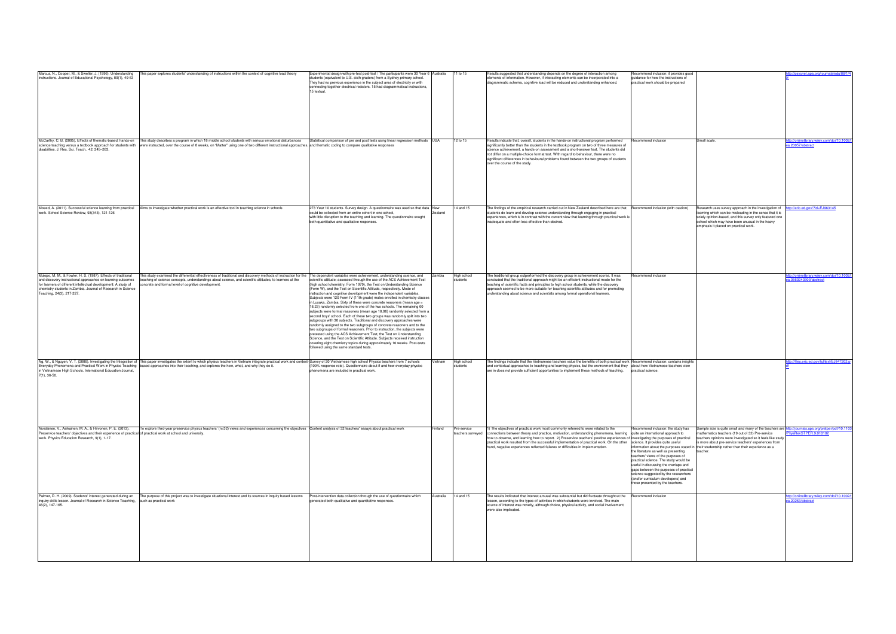| Marcus, N., Cooper, M., & Sweller, J. (1996). Understanding<br>his paper explores students' understanding of instructions within the context of cognitive load theory                                                                                                                                                                                                                                                                                                                                                                                                                                                                               | Experimental design with pre-test post-test / The participants were 30 Year 6 Australia                                                                                                                                                                                                                                                                                                                                                                                                                                                                                                                                                                                                                                                                                                                                                                                                                                                                                                                                                                                                                                                                                                                       |           | 11 to 15                         | Results suggested that understanding depends on the degree of interaction among                                                                                                                                                                                                                                                                                                                                                                                                                                                                                           | ecommend inclusion: it provides good                                                                                                                                                                                                                                                                                                                           |                                                                                                                                                                                                                                                                                                                                               | <u>psycnet.apa.org/journals/edu/88</u>                          |
|-----------------------------------------------------------------------------------------------------------------------------------------------------------------------------------------------------------------------------------------------------------------------------------------------------------------------------------------------------------------------------------------------------------------------------------------------------------------------------------------------------------------------------------------------------------------------------------------------------------------------------------------------------|---------------------------------------------------------------------------------------------------------------------------------------------------------------------------------------------------------------------------------------------------------------------------------------------------------------------------------------------------------------------------------------------------------------------------------------------------------------------------------------------------------------------------------------------------------------------------------------------------------------------------------------------------------------------------------------------------------------------------------------------------------------------------------------------------------------------------------------------------------------------------------------------------------------------------------------------------------------------------------------------------------------------------------------------------------------------------------------------------------------------------------------------------------------------------------------------------------------|-----------|----------------------------------|---------------------------------------------------------------------------------------------------------------------------------------------------------------------------------------------------------------------------------------------------------------------------------------------------------------------------------------------------------------------------------------------------------------------------------------------------------------------------------------------------------------------------------------------------------------------------|----------------------------------------------------------------------------------------------------------------------------------------------------------------------------------------------------------------------------------------------------------------------------------------------------------------------------------------------------------------|-----------------------------------------------------------------------------------------------------------------------------------------------------------------------------------------------------------------------------------------------------------------------------------------------------------------------------------------------|-----------------------------------------------------------------|
| instructions. Journal of Educational Psychology, 89(1), 49-63                                                                                                                                                                                                                                                                                                                                                                                                                                                                                                                                                                                       | students (equivalent to U.S. sixth graders) from a Sydney primary school.<br>They had no previous experience in the subject area of electricity or with<br>connecting together electrical resistors. 15 had diagrammatical instructions,<br>15 textual.                                                                                                                                                                                                                                                                                                                                                                                                                                                                                                                                                                                                                                                                                                                                                                                                                                                                                                                                                       |           |                                  | elements of information. However, if interacting elements can be incorporated into a<br>diagrammatic schema, cognitive load will be reduced and understanding enhanced.                                                                                                                                                                                                                                                                                                                                                                                                   | quidance for how the instructions of<br>practical work should be prepared                                                                                                                                                                                                                                                                                      |                                                                                                                                                                                                                                                                                                                                               |                                                                 |
| McCarthy, C. B. (2005), Effects of thematic-based, hands-on<br>This study describes a program in which 18 middle school students with serious emotional disturbances<br>science teaching versus a textbook approach for students with were instructed, over the course of 8 weeks, on "Matter" using one of two different instructional approaches. and thematic coding to compare qualitative respons<br>disabilities. J. Res. Sci. Teach., 42: 245-263.                                                                                                                                                                                           | Statistical comparison of pre and post tests using linear regression methods USA                                                                                                                                                                                                                                                                                                                                                                                                                                                                                                                                                                                                                                                                                                                                                                                                                                                                                                                                                                                                                                                                                                                              |           | 12 to 15                         | Results indicate that, overall, students in the hands-on instructional program performed<br>significantly better than the students in the textbook program on two of three measures of<br>science achievement, a hands-on assessment and a short-answer test. The students did<br>not differ on a multiple-choice format test. With regard to behaviour, there were no<br>significant differences in behavioural problems found between the two groups of students<br>over the course of the study.                                                                       | ecommend inclusion                                                                                                                                                                                                                                                                                                                                             | Small scale.                                                                                                                                                                                                                                                                                                                                  | p://onlinelibrary.wiley.com/doi/10.1002<br>1.20057/abstract     |
| Moeed, A. (2011). Successful science learning from practical Aims to investigate whether practical work is an effective tool in teaching science in schools<br>work. School Science Review, 93(343), 121-126                                                                                                                                                                                                                                                                                                                                                                                                                                        | 273 Year 10 students. Survey design. A questionnaire was used so that data New<br>could be collected from an entire cohort in one school,<br>with little disruption to the teaching and learning. The questionnaire sought<br>both quantitative and qualitative responses.                                                                                                                                                                                                                                                                                                                                                                                                                                                                                                                                                                                                                                                                                                                                                                                                                                                                                                                                    | Zealand   | 14 and 15                        | The findings of the empirical research carried out in New Zealand described here are that<br>students do learn and develop science understanding through engaging in practical<br>experiences, which is in contrast with the current view that learning through practical work is<br>inadequate and often less effective than desired.                                                                                                                                                                                                                                    | Recommend inclusion (with caution)                                                                                                                                                                                                                                                                                                                             | lesearch uses survey approach in the investigation of<br>earning which can be misleading in the sense that it is<br>solely opinion-based, and this survey only featured one<br>school which may have been unusual in the heavy<br>emphasis it placed on practical work.                                                                       | ttp://eric.ed.gov/?id=EJ963145                                  |
| Mulopo, M. M., & Fowler, H. S. (1987). Effects of traditional<br>This study examined the differential effectiveness of traditional and discovery methods of instruction for the The dependent variables were achievement, understanding science, and<br>and discovery instructional approaches on learning outcomes<br>teaching of science concepts, understandings about science, and scientific attitudes, to learners at the<br>for learners of different intellectual development: A study of<br>oncrete and formal level of cognitive development<br>chemistry students in Zambia. Journal of Research in Science<br>Teaching, 24(3), 217-227. | scientific attitude; assessed through the use of the ACS Achievement Test<br>(high school chemistry, Form 1979), the Test on Understanding Science<br>(Form W), and the Test on Scientific Attitude, respectively. Mode of<br>instruction and cognitive development were the independent variables.<br>Subjects were 120 Form IV (11th grade) males enrolled in chemistry classes<br>in Lusaka, Zambia. Sixty of these were concrete reasoners (mean age =<br>18.23) randomly selected from one of the two schools. The remaining 60<br>subjects were formal reasoners (mean age 18.06) randomly selected from a<br>second boys' school. Each of these two groups was randomly split into two<br>subgroups with 30 subjects. Traditional and discovery approaches were<br>randomly assigned to the two subgroups of concrete reasoners and to the<br>two subgroups of formal reasoners. Prior to instruction, the subjects were<br>pretested using the ACS Achievement Test, the Test on Understanding<br>Science, and the Test on Scientific Attitude. Subjects received instruction<br>covering eight chemistry topics during approximately 10 weeks. Post-tests<br>followed using the same standard tests. | Zambia    | High school<br>students          | The traditional group outperformed the discovery group in achievement scores. It was<br>concluded that the traditional approach might be an efficient instructional mode for the<br>teaching of scientific facts and principles to high school students, while the discovery<br>approach seemed to be more suitable for teaching scientific attitudes and for promoting<br>understanding about science and scientists among formal operational learners.                                                                                                                  | ecommend inclusion                                                                                                                                                                                                                                                                                                                                             |                                                                                                                                                                                                                                                                                                                                               | tp://onlinelibrary.wiley.com/doi/10.100<br>3660240303/abstract  |
| Ng, W., & Nguyen, V. T. (2006). Investigating the Integration of This paper investigates the extent to which physics teachers in Vietnam integrate practical work and context-Survey of 20 Vietnamese high school Physics teac<br>Everyday Phenomena and Practical Work in Physics Teaching based approaches into their teaching, and explores the how, what, and why they do it.<br>n Vietnamese High Schools. International Education Journal,<br>$7(1), 36-50.$                                                                                                                                                                                  | (100% response rate). Questionnaire about if and how everyday physics<br>phenomena are included in practical work.                                                                                                                                                                                                                                                                                                                                                                                                                                                                                                                                                                                                                                                                                                                                                                                                                                                                                                                                                                                                                                                                                            | 'ietnam   | High school<br>students          | The findings indicate that the Vietnamese teachers value the benefits of both practical work Recommend inclusion: contains insights<br>and contextual approaches to teaching and learning physics, but the environment that they about how Vietnamese teachers view<br>are in does not provide sufficient opportunities to implement these methods of teaching.                                                                                                                                                                                                           | practical science.                                                                                                                                                                                                                                                                                                                                             |                                                                                                                                                                                                                                                                                                                                               | p://files.eric.ed.gov/fulltext/EJ847202                         |
| Nivalainen, V., Asikainen, M. A., & Hirvonen, P. E. (2013).<br>To explore third-year preservice physics teachers' (n=32) views and experiences concerning the objectives Content analysis of 32 teachers' essays about practical work<br>Preservice teachers' objectives and their experience of practical of practical work at school and university.<br>work. Physics Education Research, 9(1), 1-17.                                                                                                                                                                                                                                             |                                                                                                                                                                                                                                                                                                                                                                                                                                                                                                                                                                                                                                                                                                                                                                                                                                                                                                                                                                                                                                                                                                                                                                                                               | Finland   | Pre-service<br>teachers surveyed | 1) The objectives of practical work most commonly referred to were related to the<br>connections between theory and practice, motivation, understanding phenomena, learning quite an international approach to<br>how to observe, and learning how to report. 2) Preservice teachers' positive experiences of investigating the purposes of practical<br>practical work resulted from the successful implementation of practical work. On the other science. It provides quite useful<br>hand, negative experiences reflected failures or difficulties in implementation. | Recommend inclusion: the study has<br>the literature as well as presenting<br>teachers' views of the purposes of<br>practical science. The study would be<br>useful in discussing the overlaps and<br>gaps between the purposes of practical<br>science suggested by the researchers<br>(and/or curriculum developers) and<br>those presented by the teachers. | Sample size is quite small and many of the teachers are ht<br>mathematics teachers (19 out of 32) Pre-service<br>teachers opinions were investigated so it feels like study<br>s more about pre-service teachers' experiences from<br>nformation about the purposes stated in their studentship rather than their experience as a<br>teacher. | tp://journals.aps.org/prstper/pdf/10.110<br>ysRevSTPER.9.010102 |
| Palmer, D. H. (2009). Students' interest generated during an<br>The purpose of this project was to investigate situational interest and its sources in inquiry based lessons<br>inquiry skills lesson. Journal of Research in Science Teaching, such as practical work<br>46(2), 147-165.                                                                                                                                                                                                                                                                                                                                                           | Post-intervention data collection through the use of questionnaire which<br>generated both qualitative and quantitative responses.                                                                                                                                                                                                                                                                                                                                                                                                                                                                                                                                                                                                                                                                                                                                                                                                                                                                                                                                                                                                                                                                            | Australia | 14 and 15                        | he results indicated that interest arousal was substantial but did fluctuate throughout the<br>lesson, according to the types of activities in which students were involved. The main<br>source of interest was novelty, although choice, physical activity, and social involvement<br>were also implicated.                                                                                                                                                                                                                                                              | Recommend inclusion                                                                                                                                                                                                                                                                                                                                            |                                                                                                                                                                                                                                                                                                                                               | 0.1002/icmlinelibrary.wiley.com/doi/10.100<br>.20263/abstract   |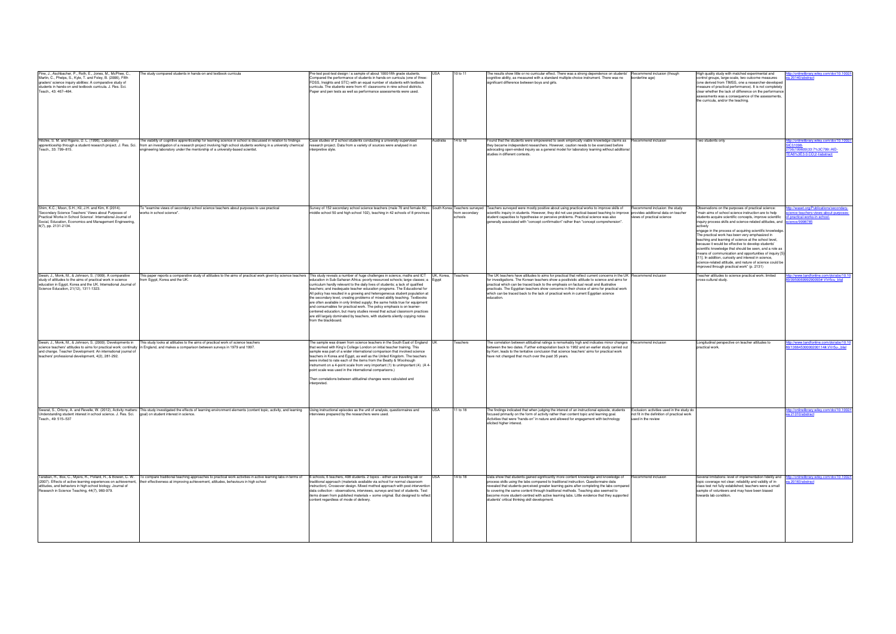| Pine, J., Aschbacher, P., Roth, E., Jones, M., McPhee, C.,<br>Martin, C., Phelps, S., Kyle, T. and Foley, B. (2006), Fifth<br>graders' science inquiry abilities: A comparative study of<br>students in hands-on and textbook curricula. J. Res. Sci.<br>Teach., 43: 467-484. | he study compared students in hands-on and textbook curricula                                                                                                                                                                                                                                                                 | Pre-test post-test design / a sample of about 1000 fifth grade students.<br>Compared the performance of students in hands-on curricula (one of three:<br>FOSS, Insights and STC) with an equal number of students with textbook<br>curricula. The students were from 41 classrooms in nine school districts.<br>Paper and pen tests as well as performance assessments were used.                                                                                                                                                                                                                                                                                                                                                                                 |            | 10 to 11                                                   | he results show little or no curricular effect. There was a strong dependence on students'<br>cognitive ability, as measured with a standard multiple-choice instrument. There was no<br>significant difference between boys and girls.                                                                                                                                                                                                                                                                          | Recommend inclusion (though<br>borderline age)                                                                  | High quality study with matched experimental and<br>control groups, large-scale, two outcome measures<br>(one derived from TIMSS, one a researcher-developed<br>measure of practical performance). It is not completely<br>clear whether the lack of difference on the performance<br>assessments was a consequence of the assessments,<br>the curricula, and/or the teaching.                                                                                                                                                                                                                                                                                                                                                        | //onlinelibrary.wiley.com/doi/10.1002/<br>a.20140/abstract                                                      |
|-------------------------------------------------------------------------------------------------------------------------------------------------------------------------------------------------------------------------------------------------------------------------------|-------------------------------------------------------------------------------------------------------------------------------------------------------------------------------------------------------------------------------------------------------------------------------------------------------------------------------|-------------------------------------------------------------------------------------------------------------------------------------------------------------------------------------------------------------------------------------------------------------------------------------------------------------------------------------------------------------------------------------------------------------------------------------------------------------------------------------------------------------------------------------------------------------------------------------------------------------------------------------------------------------------------------------------------------------------------------------------------------------------|------------|------------------------------------------------------------|------------------------------------------------------------------------------------------------------------------------------------------------------------------------------------------------------------------------------------------------------------------------------------------------------------------------------------------------------------------------------------------------------------------------------------------------------------------------------------------------------------------|-----------------------------------------------------------------------------------------------------------------|---------------------------------------------------------------------------------------------------------------------------------------------------------------------------------------------------------------------------------------------------------------------------------------------------------------------------------------------------------------------------------------------------------------------------------------------------------------------------------------------------------------------------------------------------------------------------------------------------------------------------------------------------------------------------------------------------------------------------------------|-----------------------------------------------------------------------------------------------------------------|
| Ritchie, S. M. and Rigano, D. L. (1996), Laboratory<br>apprenticeship through a student research project. J. Res. Sci.<br>Teach., 33: 799-815.                                                                                                                                | he viability of cognitive apprenticeship for learning science in school is discussed in relation to findings<br>from an investigation of a research project involving high school students working in a university chemical<br>engineering laboratory under the mentorship of a university-based scientist.                   | Case studies of 2 school students conducting a university-supervised<br>esearch project. Data from a variety of sources were analysed in an<br>interpretive style.                                                                                                                                                                                                                                                                                                                                                                                                                                                                                                                                                                                                | Australia  | 14 to 18                                                   | Found that the students were empowered to seek empirically viable knowledge claims as<br>they became independent researchers. However, caution needs to be exercised before<br>advocating open-ended inquiry as a general model for laboratory learning without additional<br>studies in different contexts.                                                                                                                                                                                                     | Recommend inclusion                                                                                             | Two students only                                                                                                                                                                                                                                                                                                                                                                                                                                                                                                                                                                                                                                                                                                                     | p://onlinelibrary.wiley.com/doi/10.1002<br>CI)1098<br>2736(199609)33:7%3C799::AID-<br>EA6%3E3.0.CO;2-l/abstract |
| Shim, K.C.; Moon, S.H.; Kil, J.H. and Kim, K (2014).<br>'Secondary Science Teachers' Views about Purposes of<br>Practical Works in School Science'. International Journal of<br>Social, Education, Economics and Management Engineering,<br>8(7), pp. 2131-2134.              | "examine views of secondary school science teachers about purposes to use practical<br>vorks in school science".                                                                                                                                                                                                              | Survey of 152 secondary school science teachers (male 70 and female 82;<br>middle school 50 and high school 102), teaching in 42 schools of 8 provinces                                                                                                                                                                                                                                                                                                                                                                                                                                                                                                                                                                                                           |            | South Korea Teachers surveyed<br>from secondary<br>schools | Teachers surveyed were mostly positive about using practical works to improve skills of<br>scientific inquiry in students. However, they did not use practical-based teaching to improve provides additional data on teacher<br>student capacities to hypothesise or perceive problems. Practical science was also<br>generally associated with "concept confirmation" rather than "concept comprehension".                                                                                                      | ecommend inclusion: the study<br>views of practical science                                                     | bservations on the purposes of practical science:<br>main aims of school science instruction are to help<br>students acquire scientific concepts, improve scientific<br>inquiry process skills and science-related attitudes, and science/9998785<br>actively<br>engage in the process of acquiring scientific knowledge.<br>The practical work has been very emphasized in<br>teaching and learning of science at the school level,<br>because it would be effective to develop students'<br>scientific knowledge that should be seen, and a role as<br>means of communication and opportunities of inquiry [5]<br>[11]. In addition, curiosity and interest in science,<br>science-related attitude, and nature of science could be | b://waset.org/Publications/secondary-<br>ence-teachers-views-about-purposes-<br>of-practical-works-in-school-   |
| Swain, J., Monk, M., & Johnson, S. (1999). A comparative<br>study of attitudes to the aims of practical work in science<br>education in Egypt, Korea and the UK. International Journal of<br>Science Education, 21(12), 1311-1323.                                            | his paper reports a comparative study of attitudes to the aims of practical work given by science teachers This study reveals a number of huge challenges in science, maths and ICT<br>from Egypt, Korea and the UK.                                                                                                          | education in Sub-Saharan Africa: poorly-resourced schools; large classes; a Egypt<br>curriculum hardly relevant to the daily lives of students; a lack of qualified<br>teachers; and inadequate teacher education programs. The Educational for<br>All policy has resulted in a growing and heterogeneous student population at<br>the secondary level, creating problems of mixed ability teaching. Textbooks<br>are often available in only limited supply; the same holds true for equipment<br>and consumables for practical work. The policy emphasis is on learner-<br>centered education, but many studies reveal that actual classroom practices<br>are still largely dominated by teachers, with students silently copying notes<br>from the blackboard. | UK, Korea, | Teachers                                                   | The UK teachers have attitudes to aims for practical that reflect current concerns in the UK Recommend inclusion<br>for investigations. The Korean teachers show a positivistic attitude to science and aims for<br>practical which can be traced back to the emphasis on factual recall and illustrative<br>practicals. The Egyptian teachers show concerns in their choice of aims for practical work<br>which can be traced back to the lack of practical work in current Egyptian science<br>education.      |                                                                                                                 | improved through practical work" (p. 2131)<br>Feacher attitudes to science practical work: limited<br>cross-cultural study.                                                                                                                                                                                                                                                                                                                                                                                                                                                                                                                                                                                                           | p://www.tandfonline.com/doi/abs/10.1<br>095006999290093#.VVr5cu blal                                            |
| Swain, J., Monk, M., & Johnson, S. (2000). Developments in<br>and change. Teacher Development: An international journal of<br>teachers' professional development, 4(2), 281-292.                                                                                              | This study looks at attitudes to the aims of practical work of science teachers<br>science teachers' attitudes to aims for practical work: continuity in England, and makes a comparison between surveys in 1979 and 1997.                                                                                                    | The sample was drawn from science teachers in the South East of England UK<br>that worked with King's College London on initial teacher training. This<br>sample was part of a wider international comparison that involved science<br>teachers in Korea and Egypt, as well as the United Kingdom. The teachers<br>were invited to rate each of the items from the Beatty & Woolnough<br>instrument on a 4-point scale from very important (1) to unimportant (4). (A 4<br>point scale was used in the international comparisons.)<br>Then correlations between attitudinal changes were calculated and<br>interpreted.                                                                                                                                           |            | eachers                                                    | The correlation between attitudinal ratings is remarkably high and indicates minor changes<br>between the two dates. Further extrapolation back to 1962 and an earlier study carried out<br>by Kerr, leads to the tentative conclusion that science teachers' aims for practical work<br>have not changed that much over the past 35 years.                                                                                                                                                                      | Recommend inclusion                                                                                             | Longitudinal perspective on teacher attitudes to<br>practical work.                                                                                                                                                                                                                                                                                                                                                                                                                                                                                                                                                                                                                                                                   | p://www.tandfonline.com/doi/abs/10.1<br>/13664530000200114#.VVr5u-_blal                                         |
| Understanding student interest in school science. J. Res. Sci. goal) on student interest in science.<br>Teach., 49: 515-537                                                                                                                                                   | Swarat, S., Ortony, A. and Revelle, W. (2012), Activity matters: This study investigated the effects of learning environment elements (content topic, activity, and learning                                                                                                                                                  | Using instructional episodes as the unit of analysis, questionnaires and<br>interviews prepared by the researchers were used.                                                                                                                                                                                                                                                                                                                                                                                                                                                                                                                                                                                                                                     |            | 11 to 18                                                   | The findings indicated that when judging the interest of an instructional episode, students<br>focused primarily on the form of activity rather than content topic and learning goal.<br>Activities that were "hands-on" in nature and allowed for engagement with technology<br>elicited higher interest.                                                                                                                                                                                                       | Exclusion: activities used in the study do<br>not fit in the definition of practical work<br>used in the review |                                                                                                                                                                                                                                                                                                                                                                                                                                                                                                                                                                                                                                                                                                                                       | orlinelibrary.wiley.com/doi/10.1002<br>a.21010/abstract                                                         |
| attitudes, and behaviors in high school biology. Journal of<br>Research in Science Teaching, 44(7), 960-979.                                                                                                                                                                  | Taraban, R., Box, C., Myers, R., Pollard, R., & Bowen, C. W. To compare traditional teaching approaches to practical work activities in active learning labs in terms of<br>(2007). Effects of active-learning experiences on achievement, their effectiveness at improving achievement, attitudes, behaviours in high school | 6 schools, 6 teachers, 408 students. 2 topics - either use travelling lab or<br>traditional approach (materials available via school for normal classroom<br>instruction). Crossover design. Mixed method approach with post-intervention<br>data collection - observations, interviews, surveys and test of students. Test<br>items drawn from published materials + some original. But designed to reflect<br>content regardless of mode of delivery.                                                                                                                                                                                                                                                                                                           |            | 14 to 18                                                   | Data show that students gained significantly more content knowledge and knowledge of<br>process skills using the labs compared to traditional instruction. Questionnaire data<br>revealed that students perceived greater learning gains after completing the labs compared<br>to covering the same content through traditional methods. Teaching also seemed to<br>become more student-centred with active learning labs. Little evidence that they supported<br>students' critical thinking skill development. | Recommend inclusion                                                                                             | Several limitations: level of implementation fidelity and<br>topic coverage not clear; reliability and validity of in-<br>class test not fully established; teachers were a small<br>sample of volunteers and may have been biased<br>towards lab condition.                                                                                                                                                                                                                                                                                                                                                                                                                                                                          | tp://onlinelibrary.wiley.com/doi/10.100;<br>a.20183/abstract                                                    |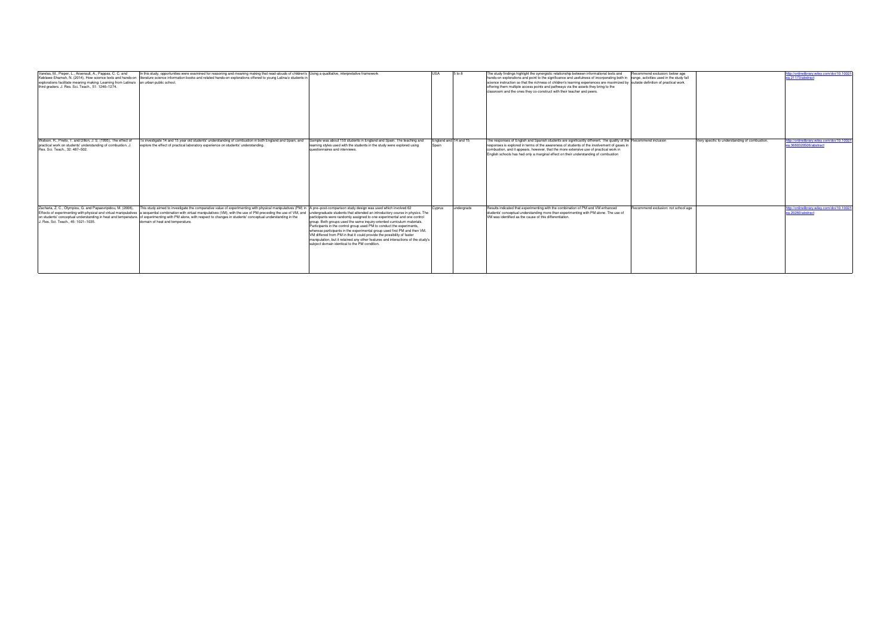| Varelas, M., Pieper, L., Arsenault, A., Pappas, C. C. and<br>Keblawe-Shamah, N. (2014), How science texts and hands-on<br>explorations facilitate meaning making: Learning from Latina/o an urban public school.<br>third graders. J. Res. Sci. Teach., 51: 1246-1274. | In this study, opportunities were examined for reasoning and meaning making that read-alouds of children's Using a qualitative, interpretative framework<br>literature science information books and related hands-on explorations offered to young Latina/o students in                                                                                                                                                                                                                        |                                                                                                                                                                                                                                                                                                                                                                                                                                                                                                                                                                                                        |        | 5 to 8                | The study findings highlight the synergistic relationship between informational texts and<br>hands-on explorations and point to the significance and usefulness of incorporating both in range, activities used in the study fall<br>science instruction so that the richness of children's learning experiences are maximized by outside definition of practical work<br>offering them multiple access points and pathways via the assets they bring to the<br>classroom and the ones they co-construct with their teacher and peers. | Recommend exclusion: below age      |                                               | tp://onlinelibrary.wiley.com/doi/10.1002<br>ea.21173/abstract          |
|------------------------------------------------------------------------------------------------------------------------------------------------------------------------------------------------------------------------------------------------------------------------|-------------------------------------------------------------------------------------------------------------------------------------------------------------------------------------------------------------------------------------------------------------------------------------------------------------------------------------------------------------------------------------------------------------------------------------------------------------------------------------------------|--------------------------------------------------------------------------------------------------------------------------------------------------------------------------------------------------------------------------------------------------------------------------------------------------------------------------------------------------------------------------------------------------------------------------------------------------------------------------------------------------------------------------------------------------------------------------------------------------------|--------|-----------------------|----------------------------------------------------------------------------------------------------------------------------------------------------------------------------------------------------------------------------------------------------------------------------------------------------------------------------------------------------------------------------------------------------------------------------------------------------------------------------------------------------------------------------------------|-------------------------------------|-----------------------------------------------|------------------------------------------------------------------------|
| Watson, R., Prieto, T. and Dillon, J. S. (1995). The effect of<br>practical work on students' understanding of combustion. J.<br>Res. Sci. Teach., 32: 487-502.                                                                                                        | To investigate 14 and 15 year old students' understanding of combustion in both England and Spain, and<br>explore the effect of practical laboratory experience on students' understanding.                                                                                                                                                                                                                                                                                                     | Sample was about 150 students in England and Spain. The teaching and<br>learning styles used with the students in the study were explored using<br>questionnaires and interviews.                                                                                                                                                                                                                                                                                                                                                                                                                      |        | Ingland and 14 and 15 | The responses of English and Spanish students are significantly different. The quality of the Recommend inclusion<br>responses is explored in terms of the awareness of students of the involvement of gases in<br>combustion, and it appears, however, that the more extensive use of practical work in<br>English schools has had only a marginal effect on their understanding of combustion                                                                                                                                        |                                     | Very specific to understanding of combustion. | http://onlinelibrary.wiley.com/doi/10.1002/t<br>ea.3660320506/abstract |
| Zacharia, Z. C., Olympiou, G. and Papaevripidou, M. (2008),<br>Effects of experimenting with physical and virtual manipulatives<br>J. Res. Sci. Teach., 45: 1021-1035.                                                                                                 | This study aimed to investigate the comparative value of experimenting with physical manipulatives (PM) in A pre-post-comparison study design was used which involved 62<br>a sequential combination with virtual manipulatives (VM), with the use of PM preceding the use of VM, and<br>on students' conceptual understanding in heat and temperature. of experimenting with PM alone, with respect to changes in students' conceptual understanding in the<br>domain of heat and temperature. | undergraduate students that attended an introductory course in physics. The<br>participants were randomly assigned to one experimental and one control<br>group. Both groups used the same inquiry-oriented curriculum materials.<br>Participants in the control group used PM to conduct the experiments,<br>whereas participants in the experimental group used first PM and then VM.<br>VM differed from PM in that it could provide the possibility of faster<br>manipulation, but it retained any other features and interactions of the study's<br>subject domain identical to the PM condition. | Cyprus | undergrads            | Results indicated that experimenting with the combination of PM and VM enhanced<br>students' conceptual understanding more than experimenting with PM alone. The use of<br>VM was identified as the cause of this differentiation.                                                                                                                                                                                                                                                                                                     | Recommend exclusion: not school age |                                               | ttp://onlinelibrary.wiley.com/doi/10.1002<br>ea.20260/abstract         |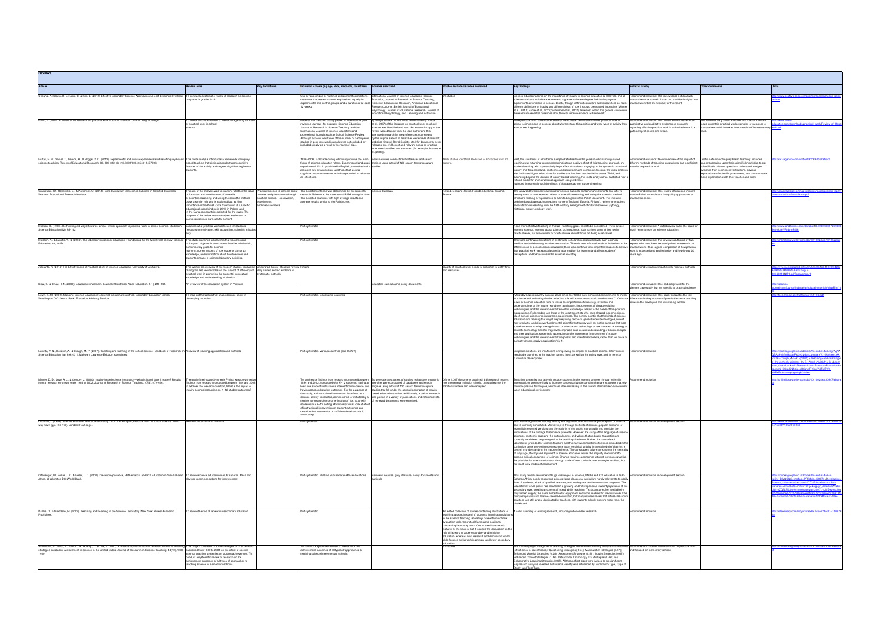| Article                                                                                                                                                                                                                                                                                                                                                                      | <b>Review aims</b>                                                                                                                                                                                                                                                                                                                                                                                                                                                                    | <b>Key definitions</b>                                                                                                                     | Inclusion criteria (eg age, date, methods, countries) Sources searched                                                                                                                                                                                                                                                                                                                                                                                                                                                                                                                                |                                                                                                                                                                                                                                                                                                                                                                                                                                                                                                                                                                                                             | Studies included/studies reviewed                                                                                                                                                                                                                                                                                                                                                                                                                                                         | <b>Key findings</b>                                                                                                                                                                                                                                                                                                                                                                                                                                                                                                                                                                                                                                                                                                                                                                                                                                                                                                                                                                                                                                                                                                                                                                                                                                                                                                                                                                                                                              | Incl/excl & why                                                                                                                                                     | Other comments                                                                                                                                                                                                                                                              | URLs                                                                                                                                                                                                                                                                                                                                          |
|------------------------------------------------------------------------------------------------------------------------------------------------------------------------------------------------------------------------------------------------------------------------------------------------------------------------------------------------------------------------------|---------------------------------------------------------------------------------------------------------------------------------------------------------------------------------------------------------------------------------------------------------------------------------------------------------------------------------------------------------------------------------------------------------------------------------------------------------------------------------------|--------------------------------------------------------------------------------------------------------------------------------------------|-------------------------------------------------------------------------------------------------------------------------------------------------------------------------------------------------------------------------------------------------------------------------------------------------------------------------------------------------------------------------------------------------------------------------------------------------------------------------------------------------------------------------------------------------------------------------------------------------------|-------------------------------------------------------------------------------------------------------------------------------------------------------------------------------------------------------------------------------------------------------------------------------------------------------------------------------------------------------------------------------------------------------------------------------------------------------------------------------------------------------------------------------------------------------------------------------------------------------------|-------------------------------------------------------------------------------------------------------------------------------------------------------------------------------------------------------------------------------------------------------------------------------------------------------------------------------------------------------------------------------------------------------------------------------------------------------------------------------------------|--------------------------------------------------------------------------------------------------------------------------------------------------------------------------------------------------------------------------------------------------------------------------------------------------------------------------------------------------------------------------------------------------------------------------------------------------------------------------------------------------------------------------------------------------------------------------------------------------------------------------------------------------------------------------------------------------------------------------------------------------------------------------------------------------------------------------------------------------------------------------------------------------------------------------------------------------------------------------------------------------------------------------------------------------------------------------------------------------------------------------------------------------------------------------------------------------------------------------------------------------------------------------------------------------------------------------------------------------------------------------------------------------------------------------------------------------|---------------------------------------------------------------------------------------------------------------------------------------------------------------------|-----------------------------------------------------------------------------------------------------------------------------------------------------------------------------------------------------------------------------------------------------------------------------|-----------------------------------------------------------------------------------------------------------------------------------------------------------------------------------------------------------------------------------------------------------------------------------------------------------------------------------------------|
| Cheung, A.; Slavin, R. E.; Lake, C. & Kim, E. (2015) Effective Secondary Science Approaches: A Best-Evidence Synthesis To conduct a systematic review of research on science                                                                                                                                                                                                 | rograms in grades 6-12                                                                                                                                                                                                                                                                                                                                                                                                                                                                |                                                                                                                                            | Use of randomized or matched assignment to conditions, International Journal of Science Education, Science<br>neasures that assess content emphasized equally in<br>2 weeks                                                                                                                                                                                                                                                                                                                                                                                                                           | Education, Journal of Research in Science Teaching,<br>xperimental and control groups, and a duration of at least Review of Educational Research, American Educational<br>Research Journal, British Journal of Educational<br><sup>2</sup> sychology, Journal of Educational Research, Journal of<br>Educational Psychology, and Learning and Instruction                                                                                                                                                                                                                                                   | 21 studies                                                                                                                                                                                                                                                                                                                                                                                                                                                                                | Science educators agree on the importance of inquiry in science education at all levels, and all<br>science curricula include experiments to a greater or lesser degree. Neither inquiry nor<br>periments are matters of serious debate, though different educators and researchers do have<br>different definitions of inquiry and different ideas of how it should be enacted in practice (Minner<br>et al., 2010; Furtak et al., 2012; Schroeder et al., 2007). However, within this general consensus<br>there remain essential questions about how to improve science achievement.                                                                                                                                                                                                                                                                                                                                                                                                                                                                                                                                                                                                                                                                                                                                                                                                                                                          | Recommend inclusion: The review does not deal with<br>practical work as its main focus, but provides insights into<br>actical work that are relevant for the report |                                                                                                                                                                                                                                                                             | ://www.bestevidence.org/science/secondary/sec_scien                                                                                                                                                                                                                                                                                           |
| Dillon, J. (2008). A review of the research on practical work in school science, London: King's College,                                                                                                                                                                                                                                                                     | o create a focused review of research regarding the state<br>of practical work in school<br>ience.                                                                                                                                                                                                                                                                                                                                                                                    |                                                                                                                                            | Material was selected that appeared in international peer<br>reviewed journals (for example, Science Education,<br>Journal of Research in Science Teaching and the<br>International Journal of Science Education) and<br>fessional journals such as School Science Review.<br>studies in peer-reviewed journals were not excluded or<br>included simply as a result of the 'sample' size.                                                                                                                                                                                                             | 1) Google scholar 2) The most recent review (Lunetta<br>et al., 2007) of the literature on practical work in school<br>ience was identified and read. An electronic copy of the<br>view was obtained from the lead author and this<br>is used to search for new references not revealed<br>Nthough account was taken of the number of participants, by the original search 3) Searches were made of relevant<br>websites (Ofsted, Royal Society, etc.) for documents, press<br>eleases, etc. 4) Recent and relevant books on practical<br>vork were identified and skimmed (for example Abrams et<br>(2008) |                                                                                                                                                                                                                                                                                                                                                                                                                                                                                           | More practical work does not necessarily mean better. Advocates of more practical work in<br>school science need to be clear about why they take this position and what types of activity they quantitative and qualitative evidence on research<br>want to see happening                                                                                                                                                                                                                                                                                                                                                                                                                                                                                                                                                                                                                                                                                                                                                                                                                                                                                                                                                                                                                                                                                                                                                                        | ecommend inclusion: This review encompasses both<br>egarding effective practical work in school science. It is<br>quite comprehensive and broad.                    | he review is very broad and does not specify a certain<br>practical work which makes interpretation of its results very arch.pdf                                                                                                                                            | http://www.score-<br>focus on certain practical work examples or purposes of education.com/downloads/practical work/Review of Rese                                                                                                                                                                                                            |
| Furtak, E. M., Seidel, T., Iverson, H., & Briggs, D. C. (2012). Experimental and quasi-experimental studies of inquiry-based This meta-analysis introduces a framework for inquiry-<br>cience teaching. Review of Educational Research, 82, 300-329. doi: 10.3102/0034654312457206                                                                                           | based teaching that distinguishes between cognitive<br>eatures of the activity and degree of guidance given to                                                                                                                                                                                                                                                                                                                                                                        |                                                                                                                                            | 1996-2006, a decade during which inquiry was the main Searches were conducted of databases and search<br>focus of science education reform. Experimental and quasi-engines using a total of 123 search terms to capture<br>experimental. K-12. published in English; those that had a studies<br>pre-post, two-group design; and those that used a<br>cognitive outcome measure with data provided to calculate<br>an effect size.                                                                                                                                                                    |                                                                                                                                                                                                                                                                                                                                                                                                                                                                                                                                                                                                             | 1625 studies identified. Reduced to 37 studies from 22                                                                                                                                                                                                                                                                                                                                                                                                                                    | First, this synthesis of a historical sample of studies from the years in which inquiry-based<br>teaching was returning to prominence indicates a positive effect of this teaching approach on different methods of teaching on students, but insufficient students drawing upon their scientific knowledge to ask<br>tudent learning, with a particularly large effect of students engaging in the epistemic domain of material on practical work.<br>inquiry and the procedural, epistemic, and social domains combined. Second, the meta-analysis<br>also indicates higher effect sizes for studies that involved teacher-led activities. Third, and<br>extending beyond the domain of inquiry-based teaching, this meta-analysis has illustrated how a<br>refined model for an instructional approach can yield more<br>anced interpretations of the effects of that approach on student learning.                                                                                                                                                                                                                                                                                                                                                                                                                                                                                                                                           | mmend exclusion: Good overview of the impact of                                                                                                                     | Jseful definition of inquiry based teaching: includes<br>cientifically oriented questions, collect and analyse<br>vidence from scientific investigations, develop<br>xplanations of scientific phenomena, and communicate<br>hose explanations with their teacher and peers | tp://rer.sagepub.com/content/82/3/300.abstract                                                                                                                                                                                                                                                                                                |
| Grajkowski, W., Ostrowska, B., & Poziomek, U. (2014). Core Curriculum for Science Subjects in Selected Countries.<br>Warsaw: Educational Research Institute.                                                                                                                                                                                                                 | he aim of the analysis was to examine whether the issue<br>formation and development of the skills<br>f scientific reasoning and using the scientific method<br>plays a similar role and is assigned just as high<br>nportance in the Polish Core Curriculum at a specific<br>ducational stage binding in 2010 in Poland and<br>in the European countries selected for the study. The<br>urpose of the review was to analyse a selection of<br>uropean science curricula for content. | Practical science is learning about<br>rocess and phenomena through<br>practical actions - observation,<br>experiments<br>and measurements | he selection criterion was determined by the students'<br>results in Science at the international PISA survey in 2006.<br>The selected countries with high average results and<br>verage results similar to the Polish ones.                                                                                                                                                                                                                                                                                                                                                                          | cience Curricula                                                                                                                                                                                                                                                                                                                                                                                                                                                                                                                                                                                            | oland, England, Czech Republic, Estonia, Finland,                                                                                                                                                                                                                                                                                                                                                                                                                                         | The analysed foreign core curricula for science subjects contain many elements that refer to<br>evelopment of competences related to scientific reasoning and using the scientific method,<br>which are missing or represented to a limited degree in the Polish document. This includes<br>problem-based approach to teaching content (England, Estonia, Finland), rather than studying<br>separate topics resulting from the 19th-century arrangement of natural sciences (cytology,<br>nistology, botany, zoology, etc.).                                                                                                                                                                                                                                                                                                                                                                                                                                                                                                                                                                                                                                                                                                                                                                                                                                                                                                                     | mmend inclusion: This review offers good insights<br>o the Polish curricula and into policy approaches to<br>actical sciences.                                      |                                                                                                                                                                                                                                                                             | ttp://eduentuzjasci.pl/images/stories/publikacje/ibe-report<br>re-curriculum-for-science.pdf                                                                                                                                                                                                                                                  |
| Hodson, D. (1993). Re-thinking old ways: towards a more critical approach to practical work in school science. Studies in Examine what practical work achieves for students<br>Science Education(22), 85-142.                                                                                                                                                                | ections on motivation, skill acquisition, scientific attitude                                                                                                                                                                                                                                                                                                                                                                                                                         |                                                                                                                                            | <b>Vot systematic</b>                                                                                                                                                                                                                                                                                                                                                                                                                                                                                                                                                                                 |                                                                                                                                                                                                                                                                                                                                                                                                                                                                                                                                                                                                             |                                                                                                                                                                                                                                                                                                                                                                                                                                                                                           | Need more effective teaching in the lab - teaching goals need to be considered. Three areas:<br>learning science, learning about science, doing science. Can achieve some of first two in<br>practical work, but assessment of practical work should focus on doing science well.                                                                                                                                                                                                                                                                                                                                                                                                                                                                                                                                                                                                                                                                                                                                                                                                                                                                                                                                                                                                                                                                                                                                                                | tecommend inclusion: A dated review but is the basis for<br>nuch recent theory on science education.                                                                |                                                                                                                                                                                                                                                                             | http://www.tandfonline.com/doi/abs/10.1080/0305726<br>022#.VRhbrfnF9i8                                                                                                                                                                                                                                                                        |
| Hofstein, A., & Lunetta, V. N. (2004). The laboratory in science education: Foundations for the twenty-first century. Science The study examines scholarship that has emerged<br>Education, 88, 28-54.                                                                                                                                                                       | in the past 20 years in the context of earlier scholarship,<br>emporary goals for science<br>arning, current models of how students construct<br>owledge, and information about how teachers and<br>students engage in science laboratory activities.                                                                                                                                                                                                                                 |                                                                                                                                            | Not systematic                                                                                                                                                                                                                                                                                                                                                                                                                                                                                                                                                                                        |                                                                                                                                                                                                                                                                                                                                                                                                                                                                                                                                                                                                             |                                                                                                                                                                                                                                                                                                                                                                                                                                                                                           | here are continuing limitations in systematic scholarship associated with such a central<br>medium as the laboratory in science education. There is new information about limitations in the experts who have been frequently cited in research on<br>effectiveness of school science education: there also continue to be important reasons to believe practical work. It has a good comparison of how practical<br>that practical work has special potential as a medium for learning and affects students'<br>rceptions and behaviours in the science laboratory                                                                                                                                                                                                                                                                                                                                                                                                                                                                                                                                                                                                                                                                                                                                                                                                                                                                              | Recommend inclusion: this review is authored by two<br>work is assessed and applied today and how it was 20<br>ears ago.                                            |                                                                                                                                                                                                                                                                             | ://onlinelibrary.wiley.com/doi/10.1002/sce.10106/abstr                                                                                                                                                                                                                                                                                        |
| Jokiranta, K. (2014) The Effectiveness of Practical Work in Science Education. University of Jyväskylä.                                                                                                                                                                                                                                                                      | his work is an overview of the modern studies conducted Undergrad thesis - literature review. Finland<br>uring the last few decades on the subject of efficiency of Very limited and no evidence of<br>practical work in promoting the students' conceptual<br>mowledge and understanding of physics.                                                                                                                                                                                 | systematic methods.                                                                                                                        |                                                                                                                                                                                                                                                                                                                                                                                                                                                                                                                                                                                                       |                                                                                                                                                                                                                                                                                                                                                                                                                                                                                                                                                                                                             | Quality of practical work needs to be higher to justify time<br>nd resources                                                                                                                                                                                                                                                                                                                                                                                                              |                                                                                                                                                                                                                                                                                                                                                                                                                                                                                                                                                                                                                                                                                                                                                                                                                                                                                                                                                                                                                                                                                                                                                                                                                                                                                                                                                                                                                                                  | tecommend Exclusion: insufficiently rigorous methods                                                                                                                |                                                                                                                                                                                                                                                                             | tream/handle/123456789/429<br>ttps://jyx.jyu.fi/dspace/bits<br>IN%3ANBN%3Afi%3Aivu<br>02181251 ndf2sequence=                                                                                                                                                                                                                                  |
| Kieu, T., & Chau, H. N. (2000). Education in Vietnam. Journal of Southeast Asian Education, 1(1), 219-241.                                                                                                                                                                                                                                                                   | n overview of the education system in Vietnam                                                                                                                                                                                                                                                                                                                                                                                                                                         |                                                                                                                                            |                                                                                                                                                                                                                                                                                                                                                                                                                                                                                                                                                                                                       | <b>Education curricula and policy documents</b>                                                                                                                                                                                                                                                                                                                                                                                                                                                                                                                                                             |                                                                                                                                                                                                                                                                                                                                                                                                                                                                                           |                                                                                                                                                                                                                                                                                                                                                                                                                                                                                                                                                                                                                                                                                                                                                                                                                                                                                                                                                                                                                                                                                                                                                                                                                                                                                                                                                                                                                                                  | ommend exclusion: Use as background for the<br>lietnam case study, but not specific to practical science                                                            |                                                                                                                                                                                                                                                                             | p/education/article/viewFile/                                                                                                                                                                                                                                                                                                                 |
| Lewin, K. M. (2000). Mapping Science Education Policy in Developing Countries. Secondary Education Series.<br>Washington D.C.: World Bank, Education Advisory Service                                                                                                                                                                                                        | o map out the factors that shape science policy in<br>weloping countries.                                                                                                                                                                                                                                                                                                                                                                                                             |                                                                                                                                            | Not systematic. Developing countries                                                                                                                                                                                                                                                                                                                                                                                                                                                                                                                                                                  |                                                                                                                                                                                                                                                                                                                                                                                                                                                                                                                                                                                                             |                                                                                                                                                                                                                                                                                                                                                                                                                                                                                           | "Most developing country national plans since the 1960s have contained commitments to invest Recommend inclusion: This paper evaluates the key<br>n science and technology in the belief that this will enhance economic development." " Orthodox differences in the purposes of practical science teaching<br>views of science education tend to stress the importance of discovery, invention and<br>inderstandings of the natural world over application, improvement of already existing<br>echnologies, and the development of scientific knowledge related to the needs of the poor and<br>marginalised. Role models are those of the great scientists who have shaped modern science.<br>Much school science replicates their experiments. The central point is that the kinds of science<br>education and training that might prepare young people to generate new technologies, invent<br>new products, and discover fundamental scientific truths may well not be the same as that best<br>uited to needs to adapt the application of science and technology to new contexts. A strategy to<br>promote technology transfer may invite emphasis on a secure understanding of basic concepts<br>and their application, systematic approaches to the incremental improvement of mature<br>echnologies, and the development of diagnostic and maintenance skills, rather than on those of<br>curiosity driven creative exploration" (p. 1) | between the developed and developing worlds                                                                                                                         |                                                                                                                                                                                                                                                                             | ttp://files.eric.ed.gov/fulltext/ED455104.pdf                                                                                                                                                                                                                                                                                                 |
| Lunetta, V. N., Hofstein, A., & Clough, M. P. (2007). Teaching and learning in the school science Handbook of Research on A review of teaching approaches and methods<br>Science Education (pp. 393-431). Mahwah: Lawrence Erlbaum Associates.                                                                                                                               |                                                                                                                                                                                                                                                                                                                                                                                                                                                                                       |                                                                                                                                            | lot systematic. Various countries (esp US/UK)                                                                                                                                                                                                                                                                                                                                                                                                                                                                                                                                                         |                                                                                                                                                                                                                                                                                                                                                                                                                                                                                                                                                                                                             |                                                                                                                                                                                                                                                                                                                                                                                                                                                                                           | Simplistic solutions are insufficient for improving the impact of practical science. Interventions<br>need to be launched at the teacher training level, as well as the policy level, and in terms of<br>curriculum development                                                                                                                                                                                                                                                                                                                                                                                                                                                                                                                                                                                                                                                                                                                                                                                                                                                                                                                                                                                                                                                                                                                                                                                                                  | mend inclusion                                                                                                                                                      |                                                                                                                                                                                                                                                                             | ttps://books.google.co.uk/books?hl=en&ir=&id=leyrAgA<br>2BAJ&oi=fnd&pg=PA393&dg=Lunetta,+V.,+Hofstein,+A.,<br>%26+Clough,+M.+P.+(2007).+Teaching+and+learning+<br>+the+school+science.+In+S.+Abell,+%26+N.+G.+Leder<br>man.+Handbook+of+Research+on+Science+Educatio<br>s=mmL-DCxpKN&sig=kDtighwRYxneYdZ-dPY9-<br>4PeP8#v=onepage&g&f=false   |
| Minner, D. D., Levy, A. J., & Century, J. (2010). Inquiry-based science instruction-what is it and does it matter? Results<br>from a research synthesis years 1984 to 2002. Journal of Research in Science Teaching, 47(4), 474-496.                                                                                                                                         | he goal of the Inquiry Synthesis Project was to synther<br>dings from research conducted between 1984 and 2002<br>o address the research question, What is the impact of<br>nauiry science instruction on K-12 student outcomes?                                                                                                                                                                                                                                                      |                                                                                                                                            | 1984 and 2002, conducted with K-12 students, having at searches were conducted of databases and search<br>least one student instructional intervention in science, and engines using a total of 123 search terms to capture<br>this study, an instructional intervention is defined as a<br>teacher (or researcher or other instructor) for, to, or with of retrieved documents were searched.<br>students in a K-12 setting. Additionally: must look at effect<br>of instructional intervention on student outcomes and<br>describe that intervention in sufficient detail to code it<br>adequately. | o synthesise findings from research completed between To generate the data set of studies, exhaustive electronic Of the 1,027 documents obtained, 443 research reports<br>aving assessed student outcomes. For the purposes of studies that fell under the general description of inquiry-<br>based science instruction. Additionally, a call for researc<br>science activity conducted, administered, or initiated by a was posted in a variety of publications and reference lists                                                                                                                        | met the general inclusion criteria.138 studies met the<br>additional criteria and were analysed                                                                                                                                                                                                                                                                                                                                                                                           | eaching strategies that actively engage students in the learning process through scientific<br>estigations are more likely to increase conceptual understanding than are strategies that rely<br>on more passive techniques, which are often necessary in the current standardised-assessment<br>aden educational environment                                                                                                                                                                                                                                                                                                                                                                                                                                                                                                                                                                                                                                                                                                                                                                                                                                                                                                                                                                                                                                                                                                                    | mmend Inclusion                                                                                                                                                     |                                                                                                                                                                                                                                                                             | nlinelibrary.wiley.com/doi/10.1002/tea.20347/abstra                                                                                                                                                                                                                                                                                           |
| Osborne, J. (1998). Science education without a laboratory? In J. J. Wellington, Practical work in school science. Which Review of sources and curricula<br>way now? (pp. 156-173), London: Routledge.                                                                                                                                                                       |                                                                                                                                                                                                                                                                                                                                                                                                                                                                                       |                                                                                                                                            | Not systematic                                                                                                                                                                                                                                                                                                                                                                                                                                                                                                                                                                                        |                                                                                                                                                                                                                                                                                                                                                                                                                                                                                                                                                                                                             |                                                                                                                                                                                                                                                                                                                                                                                                                                                                                           | his article arques that reading, writing and argument are central to any conception of science<br>as it is currently constituted. Moreover, it is through the texts of science, popular accounts or<br>journalistic reported versions that the majority of the public interact with and consider the<br>mplications of the findings that science presents. However, the study of the language of science<br>science's epistemic base and the cultural norms and values that underpin its practice are<br>urrently considered only marginal to the teaching of science. Rather, the specialised<br>laboratories provided for science teachers and the narrow conception of science embodied in the<br>curriculum gives pre-eminence to science as an empirical activity in the naive belief that this is<br>central to understanding the nature of science. The consequent failure to recognise the centrality<br>of language, literacy and argument to science education leaves the maiority ill equipped to<br>become critical consumers of science. Change requires a concerted attempt to reconceptualise<br>the priorities for science education through a mix of new curricula, new strategies and last, but<br>not least, new modes of assessment.                                                                                                                                                                                         | Recommend inclusion in development section                                                                                                                          |                                                                                                                                                                                                                                                                             | ttp://www.tandfonline.com/doi/abs/10.1080/030576402<br>147559#.VRhonPnF9i8                                                                                                                                                                                                                                                                    |
| Ottevanger, W., Akker, J. V., & Feiter, L. D. (2007). Developing Science, Mathematics, and ICT Education in Sub-Saharan To review science education in sub Saharan Africa and<br>Africa. Washington DC: World Bank.                                                                                                                                                          | evelop recommendations for improvement                                                                                                                                                                                                                                                                                                                                                                                                                                                |                                                                                                                                            | Vot systematic. Multiple Sub-Saharan African locations                                                                                                                                                                                                                                                                                                                                                                                                                                                                                                                                                | eview of sources, grey literature, policy documents and                                                                                                                                                                                                                                                                                                                                                                                                                                                                                                                                                     |                                                                                                                                                                                                                                                                                                                                                                                                                                                                                           | his study reveals a number of huge challenges in Science, Maths and ICT education in Sub-<br>Saharan Africa: poorly-resourced schools; large classes; a curriculum hardly relevant to the daily<br>lives of students; a lack of qualified teachers; and inadequate teacher education programs. The<br>Educational for All policy has resulted in a growing and heterogeneous student population at the<br>secondary level, creating problems of mixed ability teaching. Textbooks are often available in<br>only limited supply; the same holds true for equipment and consumables for practical work. The<br>policy emphasis is on learner-centered education, but many studies reveal that actual classroom<br>practices are still largely dominated by teachers, with students silently copying notes from the<br>blackboard                                                                                                                                                                                                                                                                                                                                                                                                                                                                                                                                                                                                                  | mmend inclusion in development sectior                                                                                                                              |                                                                                                                                                                                                                                                                             | https://books.google.co.uk/books?hl=en&ir=&id=n-<br>pDU_BIVQC&oi=fnd&pg=PR3&dq=(2007).+Dev<br>Science,+Mathematics,+and+ICT+Education+in+Sub-<br>Saharan+Africa&ots=7wOrrT9PiJ&sig=vr_dZavk5aWQC<br>LN1mZQ5LSIU0w#v=onepage&q=(2007).%20Developi<br>Science%2C%20Mathematics%2C%20and%20ICT%<br>Education%20in%20Sub-Saharan%20Africa&f=false |
| Psillos, D., & Niedderer, H. (2002). Teaching and Learning in the Science Laboratory. New York: Kluwer Academic<br>Publishers.                                                                                                                                                                                                                                               | review the role of labwork in secondary education                                                                                                                                                                                                                                                                                                                                                                                                                                     |                                                                                                                                            | <b>Vot systemation</b>                                                                                                                                                                                                                                                                                                                                                                                                                                                                                                                                                                                |                                                                                                                                                                                                                                                                                                                                                                                                                                                                                                                                                                                                             | teaching approaches and of students' learning acquisition<br>in the science teaching laboratory, presentation of new<br>evaluation tools, theoretical frames and positions<br>concerning laboratory work. One of the characteristic<br>features of the book is that it focuses the discussion on the<br>role of labwork in upper secondary and in higher<br>education, whereas most research and discussion world-<br>wide focuses on labwork in primary and lower secondary<br>education | An edited collection of studies containing illustrations of A solid summary of existing research, including independent research                                                                                                                                                                                                                                                                                                                                                                                                                                                                                                                                                                                                                                                                                                                                                                                                                                                                                                                                                                                                                                                                                                                                                                                                                                                                                                                 | mmend Inclusion                                                                                                                                                     |                                                                                                                                                                                                                                                                             | p://site.ebrary.com/lib/york/reader.action?docID=100673                                                                                                                                                                                                                                                                                       |
| Schroeder, C., Scott, T., Tolson, H., Huang, T., & Lee, Y. (2007). A meta-analysis of national research: Effects of teaching   This project consisted of a meta-analysis of U.S. research<br>strategies on student achievement in science in the United States. Journal of Research in Science Teaching, 44(10), 1436- published from 1980 to 2004 on the effect of specific | science teaching strategies on student achievement. To<br>conduct a systematic review of research on the<br>achievement outcomes of all types of approaches to<br>teaching science in elementary schools                                                                                                                                                                                                                                                                              |                                                                                                                                            | o conduct a systematic review of research on the<br>achievement outcomes of all types of approaches to<br>teaching science in elementary schools                                                                                                                                                                                                                                                                                                                                                                                                                                                      |                                                                                                                                                                                                                                                                                                                                                                                                                                                                                                                                                                                                             | <sup>31</sup> studies                                                                                                                                                                                                                                                                                                                                                                                                                                                                     | The following eight categories of teaching strategies were revealed during analysis of the studies Recommend Exclusion: Minimal focus on practical work,<br>(effect sizes in parentheses): Questioning Strategies (0.74); Manipulation Strategies (0.57); and focused on elementary schools<br>Enhanced Material Strategies (0.29); Assessment Strategies (0.51); Inquiry Strategies (0.65);<br>Enhanced Context Strategies (1.48); Instructional Technology (IT) Strategies (0.48); and<br>Collaborative Learning Strategies (0.95). All these effect sizes were judged to be significant.<br>Regression analysis revealed that internal validity was influenced by Publication Type, Type of<br>udy, and Test Type.                                                                                                                                                                                                                                                                                                                                                                                                                                                                                                                                                                                                                                                                                                                            |                                                                                                                                                                     |                                                                                                                                                                                                                                                                             | http://onlinelibrary.wiley.com/doi/10.1002/tea.20212/abstra                                                                                                                                                                                                                                                                                   |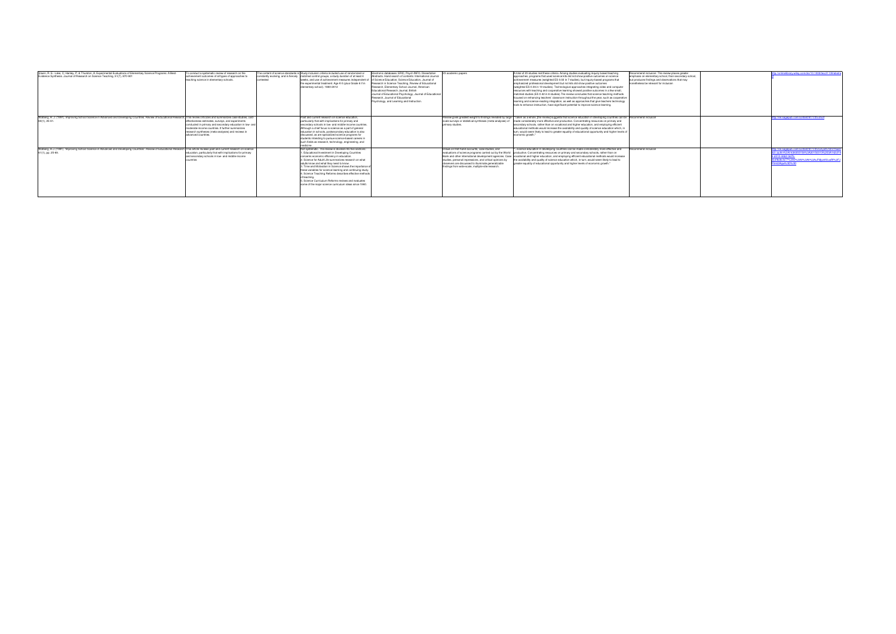| Slavin, R. E.; Lake, C. Hanley, P. & Thurston, A. Experimental Evaluations of Elementary Science Programs: A Best-<br>Evidence Synthesis, Journal of Research on Science Teaching, 51(7), 870-901    | o conduct a systematic review of research on the<br>achievement outcomes of all types of approaches to<br>teaching science in elementary schools.                                                                                           | contested | The content of science standards is Study inclusion criteria included use of randomized or<br>constantly evolving, and is fiercely matched control groups, a study duration of at least 4<br>weeks, and use of achievement measures independent<br>the experimental treatment. Age K-5 (plus Grade 6 if in<br>elementary school). 1980-2012                                                                                                                                                                                                              | Flectronic databases: FRIC Psych INFO Dissertation<br>Abstracts. Hand search of contents: International Journal<br>of Science Education, Science Education, Journal of<br>Research in Science Teaching, Review of Educational<br>Research, Elementary School Journal, American<br>Educational Research Journal, British<br>Journal of Educational Psychology, Journal of Educational<br>Research, Journal of Educational<br>Psychology, and Learning and Instruction. | 23 academic papers                                                                                                                                                                                                                                                                                                                            | A total of 23 studies met these criteria. Among studies evaluating inquiry based teaching<br>approaches, programs that used science kits did not show positive outcomes on science<br>achievement measures (weighted ES 0.02 in 7 studies), but inquiry-based programs that<br>emphasized professional development but not kits did show positive outcomes<br>(weighted ES 0.36 in 10 studies). Technological approaches integrating video and computer<br>resources with teaching and cooperative learning showed positive outcomes in a few small,<br>matched studies (ES 0.42 in 6 studies). The review concludes that science teaching methods<br>focused on enhancing teachers' classroom instruction throughout the year, such as cooperative<br>learning and science-reading integration, as well as approaches that give teachers technology<br>tools to enhance instruction, have significant potential to improve science learning. | Recommend inclusion: The review places greater<br>emphasis on elementary school, than secondary school.<br>out produces findings and observations that may<br>nonetheless be relevant for inclusion | http://onlinelibrary.wiley.com/doi/10.1002/tea.21139/abstra                                                                                                                                 |
|------------------------------------------------------------------------------------------------------------------------------------------------------------------------------------------------------|---------------------------------------------------------------------------------------------------------------------------------------------------------------------------------------------------------------------------------------------|-----------|----------------------------------------------------------------------------------------------------------------------------------------------------------------------------------------------------------------------------------------------------------------------------------------------------------------------------------------------------------------------------------------------------------------------------------------------------------------------------------------------------------------------------------------------------------|-----------------------------------------------------------------------------------------------------------------------------------------------------------------------------------------------------------------------------------------------------------------------------------------------------------------------------------------------------------------------------------------------------------------------------------------------------------------------|-----------------------------------------------------------------------------------------------------------------------------------------------------------------------------------------------------------------------------------------------------------------------------------------------------------------------------------------------|-----------------------------------------------------------------------------------------------------------------------------------------------------------------------------------------------------------------------------------------------------------------------------------------------------------------------------------------------------------------------------------------------------------------------------------------------------------------------------------------------------------------------------------------------------------------------------------------------------------------------------------------------------------------------------------------------------------------------------------------------------------------------------------------------------------------------------------------------------------------------------------------------------------------------------------------------|-----------------------------------------------------------------------------------------------------------------------------------------------------------------------------------------------------|---------------------------------------------------------------------------------------------------------------------------------------------------------------------------------------------|
| Walberg, H. J. (1991), Improving School Science in Advanced and Developing Countries. Review of Educational Research. This review criticizes and summarizes case studies, cost<br>69(1), 25-61.      | effectiveness estimates, surveys, and experiments<br>onducted in primary and secondary education in low- and<br>oderate-income countries. It further summarizes<br>research syntheses (meta-analyses) and reviews in<br>advanced countries. |           | Past and current research on science education.<br>particularly that with implications for primary and<br>secondary schools in low- and middle-income countries<br>Although a chief focus is science as a part of general<br>education in schools, postsecondary education is also<br>discussed, as are specialized science programs for<br>tudents intending to pursue science-based careers in<br>such fields as research, technology, engineering, and                                                                                                |                                                                                                                                                                                                                                                                                                                                                                                                                                                                       | scale surveys or statistical syntheses (meta-analyses) of<br>primary studies.                                                                                                                                                                                                                                                                 | Review gives greatest weight to findings revealed by large- "Taken as a whole, [the review] suggests that science education in developing countries can be Recommend inclusion<br>made considerably more effective and productive. Concentrating resources on primary and<br>secondary schools, rather than on vocational and higher education, and employing efficient<br>educational methods would increase the availability and quality of science education which, in<br>turn, would seem likely to lead to greater equality of educational opportunity and higher levels of<br>economic growth."                                                                                                                                                                                                                                                                                                                                         |                                                                                                                                                                                                     | http://rer.sagepub.com/content/61/1/25.short                                                                                                                                                |
| Walberg, H.J. (1991). 'Improving School Science in Advanced and Developing Countries'. Review of Educational Research This article reviews past and current research on science<br>61(1), pp. 25-69. | education, particularly that with implications for primary<br>and secondary schools in low- and middle-income                                                                                                                               |           | Not systematic. The review is divided into five sections:<br>Educational Investment in Developing Countries<br>concerns economic efficiency in education.<br>Science for Adult Life summarizes research on what<br>adults know and what they need to know.<br>Time and Motivation in Science shows the importance of<br>these variables for science learning and continuing study.<br>Science Teaching Reforms describes effective methods<br>Science Curriculum Reforms reviews and evaluates<br>some of the major science curriculum ideas since 1960. |                                                                                                                                                                                                                                                                                                                                                                                                                                                                       | Draws on first-hand accounts, case studies, and<br>evaluations of science programs carried out by the World<br>Bank and other international development agencies. Case<br>studies, personal impressions, and critical opinions by<br>observers are discussed to illuminate generalizable<br>findings from wide-scale, multiple-site research. | science education in developing countries can be made considerably more effective and<br>productive. Concentrating resources on primary and secondary schools, rather than on<br>rocational and higher education, and employing efficient educational methods would increase<br>the availability and quality of science education which, in turn, would seem likely to lead to<br>greater equality of educational opportunity and higher levels of economic growth."                                                                                                                                                                                                                                                                                                                                                                                                                                                                          | ecommend inclusion                                                                                                                                                                                  | http://rer.sagepub.com/content/61/1/25.full.pdf+html?hwsh<br>o2=authn%3A1426355156%3A20150313%253A142cf10<br>d512-46b2-9d7b-<br>b4f8d9cfe77%3A0%3A0%3A0%3AuFMpz6fUusRf%2FJ<br>5n62Agw%3D%3D |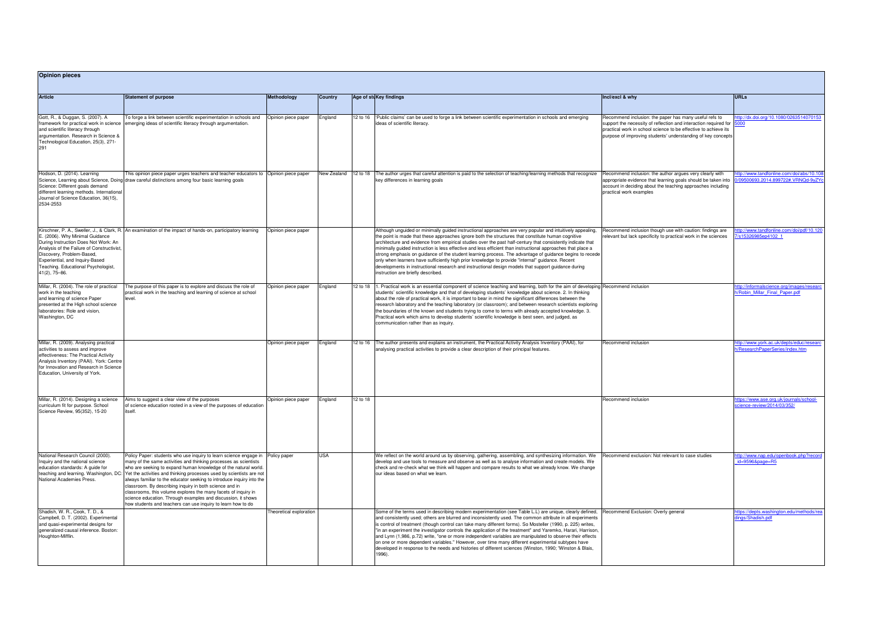| <b>Opinion pieces</b>                                                                                                                                                                                                                           |                                                                                                                                                                                                                                                                                                                                                                                                                                                                                                                                                                                                                                                                            |                                    |                           |          |                                                                                                                                                                                                                                                                                                                                                                                                                                                                                                                                                                                                                                                                                                                                                                                                             |                                                                                                                                                                                                                                                               |                                                                              |  |  |
|-------------------------------------------------------------------------------------------------------------------------------------------------------------------------------------------------------------------------------------------------|----------------------------------------------------------------------------------------------------------------------------------------------------------------------------------------------------------------------------------------------------------------------------------------------------------------------------------------------------------------------------------------------------------------------------------------------------------------------------------------------------------------------------------------------------------------------------------------------------------------------------------------------------------------------------|------------------------------------|---------------------------|----------|-------------------------------------------------------------------------------------------------------------------------------------------------------------------------------------------------------------------------------------------------------------------------------------------------------------------------------------------------------------------------------------------------------------------------------------------------------------------------------------------------------------------------------------------------------------------------------------------------------------------------------------------------------------------------------------------------------------------------------------------------------------------------------------------------------------|---------------------------------------------------------------------------------------------------------------------------------------------------------------------------------------------------------------------------------------------------------------|------------------------------------------------------------------------------|--|--|
| <b>Article</b>                                                                                                                                                                                                                                  | <b>Statement of purpose</b><br>To forge a link between scientific experimentation in schools and<br>emerging ideas of scientific literacy through argumentation.                                                                                                                                                                                                                                                                                                                                                                                                                                                                                                           | Methodology<br>Opinion piece paper | <b>Country</b><br>England |          | Age of stu Key findings                                                                                                                                                                                                                                                                                                                                                                                                                                                                                                                                                                                                                                                                                                                                                                                     | Incl/excl & why                                                                                                                                                                                                                                               | <b>URLs</b><br>tp://dx.doi.org/10.1080/0263514070153<br>5000                 |  |  |
| Gott, R., & Duggan, S. (2007). A<br>framework for practical work in science<br>and scientific literacy through<br>argumentation. Research in Science &<br>Technological Education, 25(3), 271-<br>291                                           |                                                                                                                                                                                                                                                                                                                                                                                                                                                                                                                                                                                                                                                                            |                                    |                           |          | 12 to 16  Public claims' can be used to forge a link between scientific experimentation in schools and emerging<br>ideas of scientific literacy.                                                                                                                                                                                                                                                                                                                                                                                                                                                                                                                                                                                                                                                            | Recommend inclusion: the paper has many useful refs to<br>support the necessity of reflection and interaction required for<br>practical work in school science to be effective to achieve its<br>purpose of improving students' understanding of key concepts |                                                                              |  |  |
| Hodson, D. (2014). Learning<br>Science: Different goals demand<br>different learning methods. International<br>Journal of Science Education, 36(15),<br>2534-2553                                                                               | This opinion piece paper urges teachers and teacher educators to Opinion piece paper<br>Science, Learning about Science, Doing draw careful distinctions among four basic learning goals                                                                                                                                                                                                                                                                                                                                                                                                                                                                                   |                                    | New Zealand               | 12 to 18 | The author urges that careful attention is paid to the selection of teaching/learning methods that recognize<br>key differences in learning goals                                                                                                                                                                                                                                                                                                                                                                                                                                                                                                                                                                                                                                                           | Recommend inclusion: the author argues very clearly with<br>appropriate evidence that learning goals should be taken into<br>account in deciding about the teaching approaches including<br>practical work examples                                           | tp://www.tandfonline.com/doi/abs/10.108<br>09500693.2014.899722#.VRNQd-9yZYo |  |  |
| E. (2006). Why Minimal Guidance<br>During Instruction Does Not Work: An<br>Analysis of the Failure of Constructivist<br>Discovery, Problem-Based,<br>Experiential, and Inquiry-Based<br>Teaching. Educational Psychologist.<br>$41(2)$ , 75-86. | Kirschner, P. A., Sweller, J., & Clark, R. An examination of the impact of hands-on, participatory learning                                                                                                                                                                                                                                                                                                                                                                                                                                                                                                                                                                | Opinion piece paper                |                           |          | Although unguided or minimally guided instructional approaches are very popular and intuitively appealing,<br>the point is made that these approaches ignore both the structures that constitute human cognitive<br>architecture and evidence from empirical studies over the past half-century that consistently indicate that<br>minimally quided instruction is less effective and less efficient than instructional approaches that place a<br>strong emphasis on guidance of the student learning process. The advantage of guidance begins to recede<br>only when learners have sufficiently high prior knowledge to provide "internal" guidance. Recent<br>developments in instructional research and instructional design models that support guidance during<br>instruction are briefly described. | Recommend inclusion though use with caution: findings are<br>relevant but lack specificity to practical work in the sciences                                                                                                                                  | tp://www.tandfonline.com/doi/pdf/10.120<br>s15326985ep4102 1                 |  |  |
| Millar, R. (2004). The role of practical<br>work in the teaching<br>and learning of science Paper<br>presented at the High school science<br>laboratories: Role and vision,<br>Washington, DC                                                   | The purpose of this paper is to explore and discuss the role of<br>practical work in the teaching and learning of science at school<br>level.                                                                                                                                                                                                                                                                                                                                                                                                                                                                                                                              | Opinion piece paper                | England                   | 12 to 18 | 1. Practical work is an essential component of science teaching and learning, both for the aim of developing Recommend inclusion<br>students' scientific knowledge and that of developing students' knowledge about science. 2. In thinking<br>about the role of practical work, it is important to bear in mind the significant differences between the<br>research laboratory and the teaching laboratory (or classroom); and between research scientists exploring<br>the boundaries of the known and students trying to come to terms with already accepted knowledge. 3.<br>Practical work which aims to develop students' scientific knowledge is best seen, and judged, as<br>communication rather than as inquiry.                                                                                  |                                                                                                                                                                                                                                                               | tp://informalscience.org/images/researc<br>h/Robin Millar Final Paper.pdf    |  |  |
| Millar, R. (2009). Analysing practical<br>activities to assess and improve<br>effectiveness: The Practical Activity<br>Analysis Inventory (PAAI). York: Centre<br>for Innovation and Research in Science<br>Education, University of York.      |                                                                                                                                                                                                                                                                                                                                                                                                                                                                                                                                                                                                                                                                            | Opinion piece paper                | England                   |          | 12 to 16   The author presents and explains an instrument, the Practical Activity Analysis Inventory (PAAI), for<br>analysing practical activities to provide a clear description of their principal features.                                                                                                                                                                                                                                                                                                                                                                                                                                                                                                                                                                                              | Recommend inclusion                                                                                                                                                                                                                                           | ttp://www.york.ac.uk/depts/educ/researd<br>h/ResearchPaperSeries/index.htm   |  |  |
| Millar, R. (2014). Designing a science<br>curriculum fit for purpose. School<br>Science Review, 95(352), 15-20                                                                                                                                  | Aims to suggest a clear view of the purposes<br>of science education rooted in a view of the purposes of education<br>itself.                                                                                                                                                                                                                                                                                                                                                                                                                                                                                                                                              | Opinion piece paper                | England                   | 12 to 18 |                                                                                                                                                                                                                                                                                                                                                                                                                                                                                                                                                                                                                                                                                                                                                                                                             | Recommend inclusion                                                                                                                                                                                                                                           | tps://www.ase.org.uk/journals/school-<br>science-review/2014/03/352/         |  |  |
| National Research Council (2000).<br>Inquiry and the national science<br>education standards: A guide for<br>National Academies Press.                                                                                                          | Policy Paper: students who use inquiry to learn science engage in Policy paper<br>many of the same activities and thinking processes as scientists<br>who are seeking to expand human knowledge of the natural world.<br>teaching and learning. Washington, DC: Yet the activities and thinking processes used by scientists are not<br>always familiar to the educator seeking to introduce inquiry into the<br>classroom. By describing inquiry in both science and in<br>classrooms, this volume explores the many facets of inquiry in<br>science education. Through examples and discussion, it shows<br>how students and teachers can use inquiry to learn how to do |                                    | <b>USA</b>                |          | We reflect on the world around us by observing, gathering, assembling, and synthesizing information. We<br>develop and use tools to measure and observe as well as to analyse information and create models. We<br>check and re-check what we think will happen and compare results to what we already know. We change<br>our ideas based on what we learn.                                                                                                                                                                                                                                                                                                                                                                                                                                                 | Recommend exclusion: Not relevant to case studies                                                                                                                                                                                                             | ttp://www.nap.edu/openbook.php?record<br>$id = 95968$ page=R5                |  |  |
| Shadish, W. R., Cook, T. D., &<br>Campbell, D. T. (2002). Experimental<br>and quasi-experimental designs for<br>generalized causal inference. Boston:<br>Houghton-Mifflin.                                                                      |                                                                                                                                                                                                                                                                                                                                                                                                                                                                                                                                                                                                                                                                            | Theoretical exploration            |                           |          | Some of the terms used in describing modern experimentation (see Table L.L) are unique, clearly defined,<br>and consistently used; others are blurred and inconsistently used. The common attribute in all experiments<br>is control of treatment (though control can take many different forms). So Mosteller (1990, p. 225) writes,<br>"in an experiment the investigator controls the application of the treatment" and Yaremko, Harari, Harrison,<br>and Lynn (1,986, p.72) write, "one or more independent variables are manipulated to observe their effects<br>on one or more dependent variables." However, over time many different experimental subtypes have<br>developed in response to the needs and histories of different sciences (Winston, 1990; 'Winston & Blais,<br>1996).               | Recommend Exclusion: Overly general                                                                                                                                                                                                                           | tps://depts.washington.edu/methods/rea<br>dings/Shadish.pdf                  |  |  |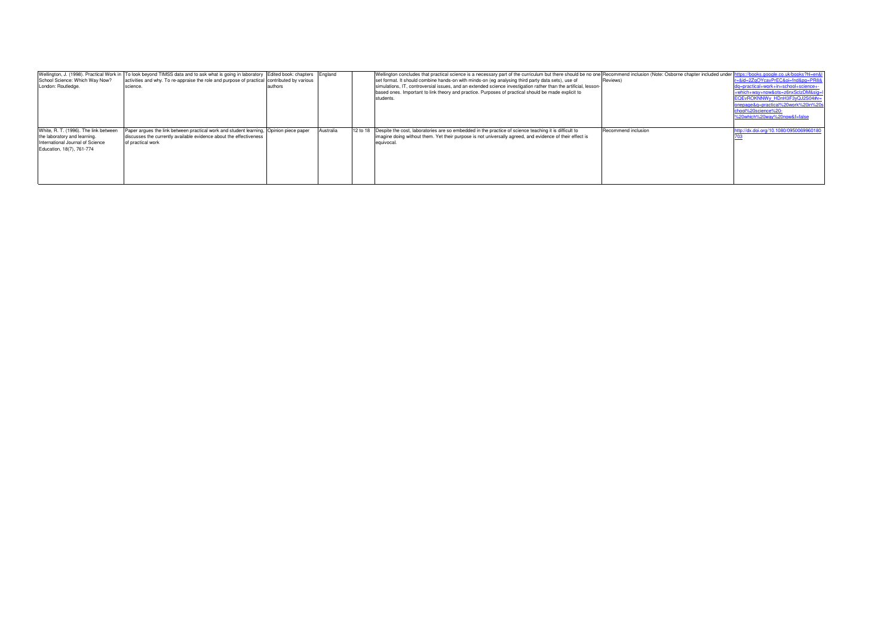| School Science: Which Way Now?<br>London: Routledge.                                                                                   | Wellington, J. (1998). Practical Work in To look beyond TIMSS data and to ask what is going in laboratory Edited book: chapters England<br>activities and why. To re-appraise the role and purpose of practical contributed by various<br>science. | authors |           | Wellington concludes that practical science is a necessary part of the curriculum but there should be no one Recommend inclusion (Note: Osborne chapter included under  nttps://books.google.co.uk/books?hl=en&<br>set format. It should combine hands-on with minds-on (eg analysing third party data sets), use of<br>simulations, IT, controversial issues, and an extended science investigation rather than the artificial, lesson-<br>based ones. Important to link theory and practice. Purposes of practical should be made explicit to<br>students. | Reviews)            | r=&id=2ZqOYcavPrEC&oi=fnd&pq=PR8<br>dq=practical+work+in+school+science+-<br>+which+way+now&ots=z6nxSclzDM&sig=l<br>EQEvROKNNWy HDnH3F3yQJ2S04#v=<br>onepage&g=practical%20work%20in%20s<br>chool%20science%20- |
|----------------------------------------------------------------------------------------------------------------------------------------|----------------------------------------------------------------------------------------------------------------------------------------------------------------------------------------------------------------------------------------------------|---------|-----------|--------------------------------------------------------------------------------------------------------------------------------------------------------------------------------------------------------------------------------------------------------------------------------------------------------------------------------------------------------------------------------------------------------------------------------------------------------------------------------------------------------------------------------------------------------------|---------------------|-----------------------------------------------------------------------------------------------------------------------------------------------------------------------------------------------------------------|
| White, R. T. (1996). The link between<br>the laboratory and learning.<br>International Journal of Science<br>Education, 18(7), 761-774 | Paper argues the link between practical work and student learning, Opinion piece paper<br>discusses the currently available evidence about the effectiveness<br>of practical work                                                                  |         | Australia | 12 to 18 Despite the cost, laboratories are so embedded in the practice of science teaching it is difficult to<br>limagine doing without them. Yet their purpose is not universally agreed, and evidence of their effect is<br>equivocal                                                                                                                                                                                                                                                                                                                     | Recommend inclusion | %20which%20way%20now&f=false<br>http://dx.doi.org/10.1080/095006996018                                                                                                                                          |